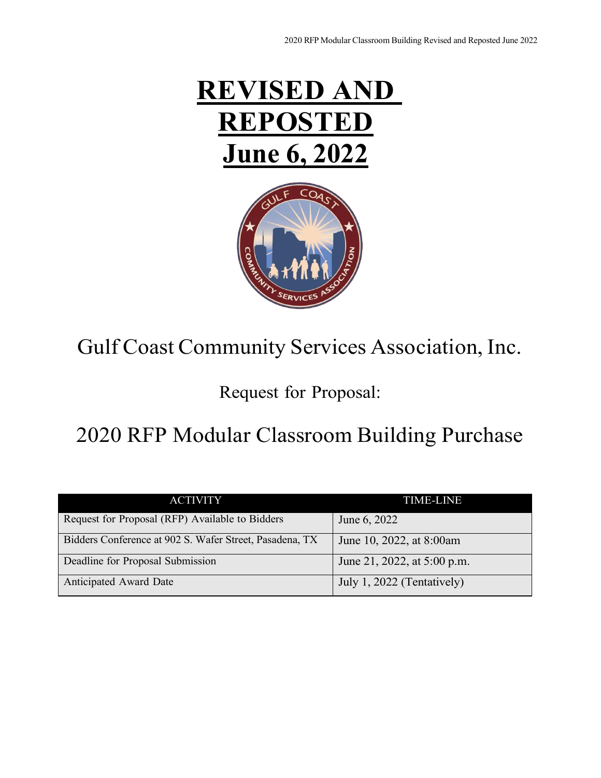



# Gulf Coast Community Services Association, Inc.

# Request for Proposal:

# 2020 RFP Modular Classroom Building Purchase

| <b>ACTIVITY</b>                                         | <b>TIME-LINE</b>            |
|---------------------------------------------------------|-----------------------------|
| Request for Proposal (RFP) Available to Bidders         | June 6, 2022                |
| Bidders Conference at 902 S. Wafer Street, Pasadena, TX | June 10, 2022, at 8:00am    |
| Deadline for Proposal Submission                        | June 21, 2022, at 5:00 p.m. |
| Anticipated Award Date                                  | July 1, 2022 (Tentatively)  |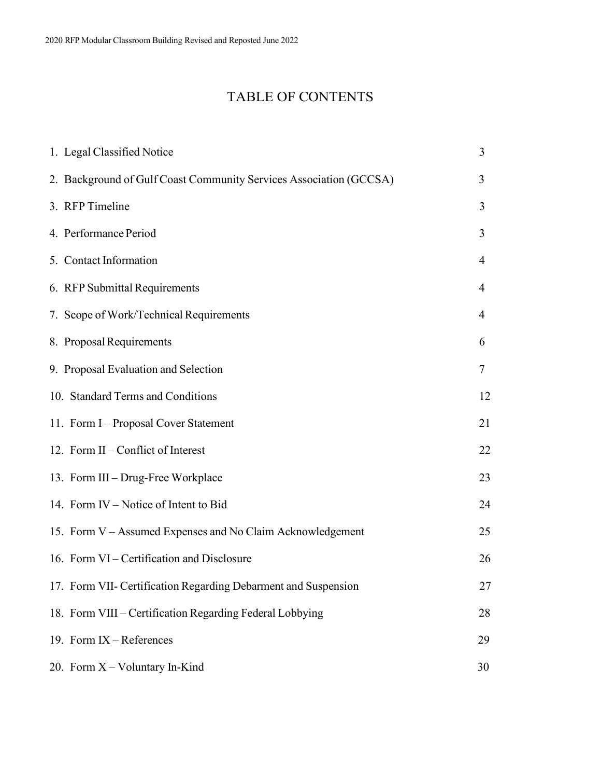# TABLE OF CONTENTS

| 1. Legal Classified Notice                                         | 3  |
|--------------------------------------------------------------------|----|
| 2. Background of Gulf Coast Community Services Association (GCCSA) | 3  |
| 3. RFP Timeline                                                    | 3  |
| 4. Performance Period                                              | 3  |
| 5. Contact Information                                             | 4  |
| 6. RFP Submittal Requirements                                      | 4  |
| 7. Scope of Work/Technical Requirements                            | 4  |
| 8. Proposal Requirements                                           | 6  |
| 9. Proposal Evaluation and Selection                               | 7  |
| 10. Standard Terms and Conditions                                  | 12 |
| 11. Form I - Proposal Cover Statement                              | 21 |
| 12. Form II – Conflict of Interest                                 | 22 |
| 13. Form III – Drug-Free Workplace                                 | 23 |
| 14. Form IV – Notice of Intent to Bid                              | 24 |
| 15. Form V - Assumed Expenses and No Claim Acknowledgement         | 25 |
| 16. Form VI - Certification and Disclosure                         | 26 |
| 17. Form VII- Certification Regarding Debarment and Suspension     | 27 |
| 18. Form VIII – Certification Regarding Federal Lobbying           | 28 |
| 19. Form $IX - References$                                         | 29 |
| 20. Form X - Voluntary In-Kind                                     | 30 |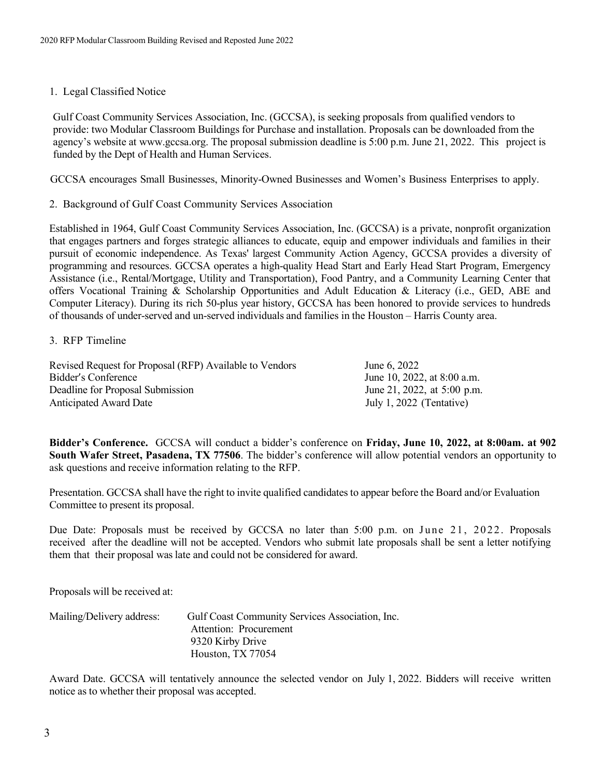#### <span id="page-2-0"></span>1. Legal Classified Notice

Gulf Coast Community Services Association, Inc. (GCCSA), is seeking proposals from qualified vendors to provide: two Modular Classroom Buildings for Purchase and installation. Proposals can be downloaded from the agency's website at [www.gccsa.org.](http://www.gccsa.org/) The proposal submission deadline is 5:00 p.m. June 21, 2022. This project is funded by the Dept of Health and Human Services.

GCCSA encourages Small Businesses, Minority-Owned Businesses and Women's Business Enterprises to apply.

2. Background of Gulf Coast Community Services Association

Established in 1964, Gulf Coast Community Services Association, Inc. (GCCSA) is a private, nonprofit organization that engages partners and forges strategic alliances to educate, equip and empower individuals and families in their pursuit of economic independence. As Texas' largest Community Action Agency, GCCSA provides a diversity of programming and resources. GCCSA operates a high-quality Head Start and Early Head Start Program, Emergency Assistance (i.e., Rental/Mortgage, Utility and Transportation), Food Pantry, and a Community Learning Center that offers Vocational Training & Scholarship Opportunities and Adult Education & Literacy (i.e., GED, ABE and Computer Literacy). During its rich 50-plus year history, GCCSA has been honored to provide services to hundreds of thousands of under-served and un-served individuals and families in the Houston – Harris County area.

#### <span id="page-2-1"></span>3. RFP Timeline

Revised Request for Proposal (RFP) Available to Vendors June 6, 2022 Bidder's Conference June 10, 2022, at 8:00 a.m. Deadline for Proposal Submission June 21, 2022, at 5:00 p.m. Anticipated Award Date July 1, 2022 (Tentative)

**Bidder's Conference.** GCCSA will conduct a bidder's conference on **Friday, June 10, 2022, at 8:00am. at 902 South Wafer Street, Pasadena, TX 77506**. The bidder's conference will allow potential vendors an opportunity to ask questions and receive information relating to the RFP.

Presentation. GCCSA shall have the right to invite qualified candidates to appear before the Board and/or Evaluation Committee to present its proposal.

Due Date: Proposals must be received by GCCSA no later than 5:00 p.m. on June 21, 2022 . Proposals received after the deadline will not be accepted. Vendors who submit late proposals shall be sent a letter notifying them that their proposal was late and could not be considered for award.

Proposals will be received at:

| Mailing/Delivery address: | Gulf Coast Community Services Association, Inc. |
|---------------------------|-------------------------------------------------|
|                           | Attention: Procurement                          |
|                           | 9320 Kirby Drive                                |
|                           | Houston, TX 77054                               |

Award Date. GCCSA will tentatively announce the selected vendor on July 1, 2022. Bidders will receive written notice as to whether their proposal was accepted.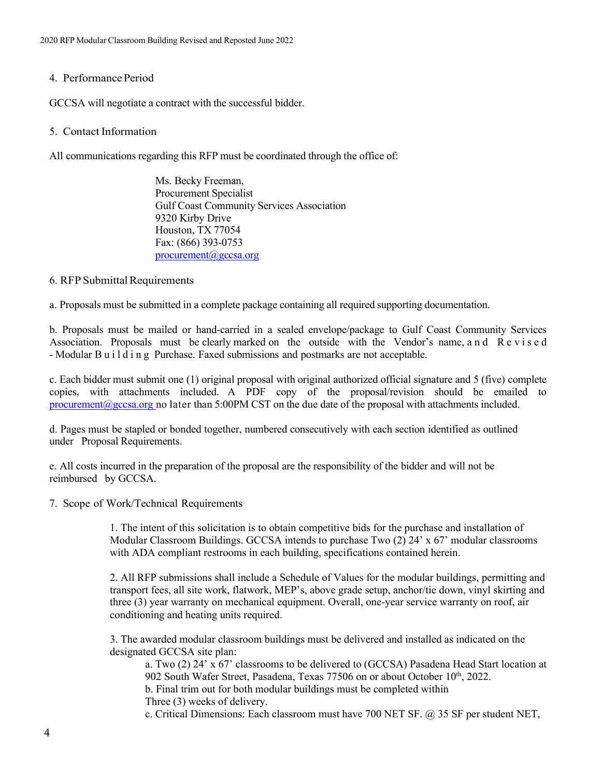### <span id="page-3-0"></span>4. Performance Period

GCCSA will negotiate a contract with the successful bidder.

### <span id="page-3-1"></span>5. Contact Information

All communications regarding this RFP must be coordinated through the office of:

Ms. Becky Freeman, Procurement Specialist Gulf Coast Community Services Association 9320 Kirby Drive Houston, TX 77054 Fax: (866) 393-0753 [procurement@gccsa.org](mailto:procurement@gccsa.org)

## <span id="page-3-2"></span>6. RFP Submittal Requirements

a. Proposals must be submitted in a complete package containing all required supporting documentation.

b. Proposals must be mailed or hand-carried in a sealed envelope/package to Gulf Coast Community Services Association. Proposals must be clearly marked on the outside with the Vendor's name, and R e v i s e d - Modular Building Purchase. Faxed submissions and postmarks are not acceptable.

c. Each bidder must submit one (1) original proposal with original authorized official signature and 5 (five) complete copies, with attachments included. A PDF copy of the proposal/revision should be emailed to procurement  $(Q)$ gccsa.org no later than 5:00PM CST on the due date of the proposal with attachments included.

d. Pages must be stapled or bonded together, numbered consecutively with each section identified as outlined under Proposal Requirements.

e. All costs incurred in the preparation of the proposal are the responsibility of the bidder and will not be reimbursed by GCCSA.

<span id="page-3-3"></span>7. Scope of Work/Technical Requirements

1. The intent of this solicitation is to obtain competitive bids for the purchase and installation of Modular Classroom Buildings. GCCSA intends to purchase Two (2) 24' x 67' modular classrooms with ADA compliant restrooms in each building, specifications contained herein.

2. All RFP submissions shall include a Schedule of Values for the modular buildings, permitting and transport fees, all site work, flatwork, MEP's, above grade setup, anchor/tie down, vinyl skirting and three (3) year warranty on mechanical equipment. Overall, one-year service warranty on roof, air conditioning and heating units required.

3. The awarded modular classroom buildings must be delivered and installed as indicated on the designated GCCSA site plan:

a. Two (2) 24' x 67' classrooms to be delivered to (GCCSA) Pasadena Head Start location at 902 South Wafer Street, Pasadena, Texas  $77506$  on or about October  $10^{th}$ , 2022. b. Final trim out for both modular buildings must be completed within Three (3) weeks of delivery.

c. Critical Dimensions: Each classroom must have 700 NET SF.  $\omega$  35 SF per student NET,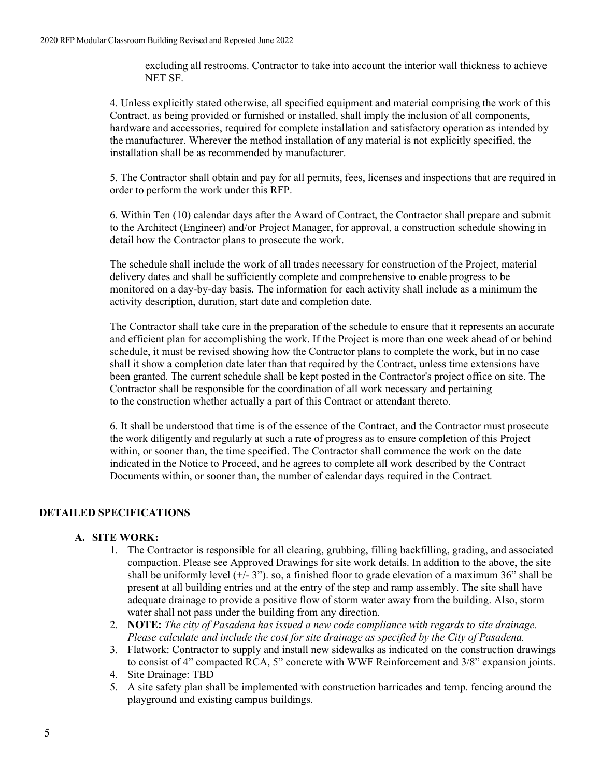excluding all restrooms. Contractor to take into account the interior wall thickness to achieve NET SF.

4. Unless explicitly stated otherwise, all specified equipment and material comprising the work of this Contract, as being provided or furnished or installed, shall imply the inclusion of all components, hardware and accessories, required for complete installation and satisfactory operation as intended by the manufacturer. Wherever the method installation of any material is not explicitly specified, the installation shall be as recommended by manufacturer.

5. The Contractor shall obtain and pay for all permits, fees, licenses and inspections that are required in order to perform the work under this RFP.

6. Within Ten (10) calendar days after the Award of Contract, the Contractor shall prepare and submit to the Architect (Engineer) and/or Project Manager, for approval, a construction schedule showing in detail how the Contractor plans to prosecute the work.

The schedule shall include the work of all trades necessary for construction of the Project, material delivery dates and shall be sufficiently complete and comprehensive to enable progress to be monitored on a day-by-day basis. The information for each activity shall include as a minimum the activity description, duration, start date and completion date.

The Contractor shall take care in the preparation of the schedule to ensure that it represents an accurate and efficient plan for accomplishing the work. If the Project is more than one week ahead of or behind schedule, it must be revised showing how the Contractor plans to complete the work, but in no case shall it show a completion date later than that required by the Contract, unless time extensions have been granted. The current schedule shall be kept posted in the Contractor's project office on site. The Contractor shall be responsible for the coordination of all work necessary and pertaining to the construction whether actually a part of this Contract or attendant thereto.

6. It shall be understood that time is of the essence of the Contract, and the Contractor must prosecute the work diligently and regularly at such a rate of progress as to ensure completion of this Project within, or sooner than, the time specified. The Contractor shall commence the work on the date indicated in the Notice to Proceed, and he agrees to complete all work described by the Contract Documents within, or sooner than, the number of calendar days required in the Contract.

# **DETAILED SPECIFICATIONS**

#### **A. SITE WORK:**

- 1. The Contractor is responsible for all clearing, grubbing, filling backfilling, grading, and associated compaction. Please see Approved Drawings for site work details. In addition to the above, the site shall be uniformly level  $(+/- 3")$ . so, a finished floor to grade elevation of a maximum 36" shall be present at all building entries and at the entry of the step and ramp assembly. The site shall have adequate drainage to provide a positive flow of storm water away from the building. Also, storm water shall not pass under the building from any direction.
- 2. **NOTE:** *The city of Pasadena has issued a new code compliance with regards to site drainage. Please calculate and include the cost for site drainage as specified by the City of Pasadena.*
- 3. Flatwork: Contractor to supply and install new sidewalks as indicated on the construction drawings to consist of 4" compacted RCA, 5" concrete with WWF Reinforcement and 3/8" expansion joints.
- 4. Site Drainage: TBD
- 5. A site safety plan shall be implemented with construction barricades and temp. fencing around the playground and existing campus buildings.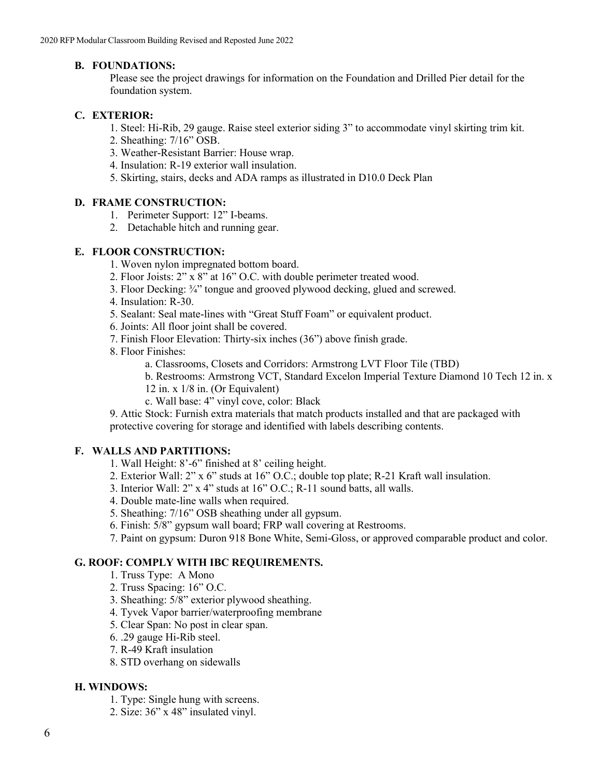# **B. FOUNDATIONS:**

Please see the project drawings for information on the Foundation and Drilled Pier detail for the foundation system.

## **C. EXTERIOR:**

- 1. Steel: Hi-Rib, 29 gauge. Raise steel exterior siding 3" to accommodate vinyl skirting trim kit.
- 2. Sheathing: 7/16" OSB.
- 3. Weather-Resistant Barrier: House wrap.
- 4. Insulation: R-19 exterior wall insulation.
- 5. Skirting, stairs, decks and ADA ramps as illustrated in D10.0 Deck Plan

# **D. FRAME CONSTRUCTION:**

- 1. Perimeter Support: 12" I-beams.
- 2. Detachable hitch and running gear.

# **E. FLOOR CONSTRUCTION:**

- 1. Woven nylon impregnated bottom board.
- 2. Floor Joists: 2" x 8" at 16" O.C. with double perimeter treated wood.
- 3. Floor Decking: ¾" tongue and grooved plywood decking, glued and screwed.
- 4. Insulation: R-30.
- 5. Sealant: Seal mate-lines with "Great Stuff Foam" or equivalent product.
- 6. Joints: All floor joint shall be covered.
- 7. Finish Floor Elevation: Thirty-six inches (36") above finish grade.
- 8. Floor Finishes:
	- a. Classrooms, Closets and Corridors: Armstrong LVT Floor Tile (TBD)
	- b. Restrooms: Armstrong VCT, Standard Excelon Imperial Texture Diamond 10 Tech 12 in. x
	- 12 in. x 1/8 in. (Or Equivalent)
	- c. Wall base: 4" vinyl cove, color: Black

9. Attic Stock: Furnish extra materials that match products installed and that are packaged with protective covering for storage and identified with labels describing contents.

# **F. WALLS AND PARTITIONS:**

- 1. Wall Height: 8'-6" finished at 8' ceiling height.
- 2. Exterior Wall: 2" x 6" studs at 16" O.C.; double top plate; R-21 Kraft wall insulation.
- 3. Interior Wall: 2" x 4" studs at 16" O.C.; R-11 sound batts, all walls.
- 4. Double mate-line walls when required.
- 5. Sheathing: 7/16" OSB sheathing under all gypsum.
- 6. Finish: 5/8" gypsum wall board; FRP wall covering at Restrooms.
- 7. Paint on gypsum: Duron 918 Bone White, Semi-Gloss, or approved comparable product and color.

# **G. ROOF: COMPLY WITH IBC REQUIREMENTS.**

- 1. Truss Type: A Mono
- 2. Truss Spacing: 16" O.C.
- 3. Sheathing: 5/8" exterior plywood sheathing.
- 4. Tyvek Vapor barrier/waterproofing membrane
- 5. Clear Span: No post in clear span.
- 6. .29 gauge Hi-Rib steel.
- 7. R-49 Kraft insulation
- 8. STD overhang on sidewalls

# **H. WINDOWS:**

- 1. Type: Single hung with screens.
- 2. Size: 36" x 48" insulated vinyl.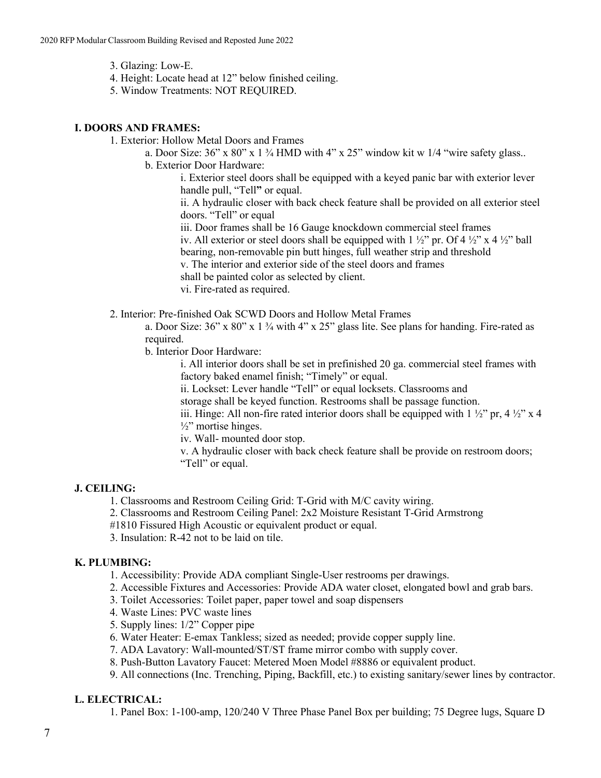- 3. Glazing: Low-E.
- 4. Height: Locate head at 12" below finished ceiling.
- 5. Window Treatments: NOT REQUIRED.

## **I. DOORS AND FRAMES:**

1. Exterior: Hollow Metal Doors and Frames

a. Door Size:  $36$ " x  $80$ " x  $1\frac{3}{4}$  HMD with  $4$ " x  $25$ " window kit w  $1/4$  "wire safety glass..

b. Exterior Door Hardware:

i. Exterior steel doors shall be equipped with a keyed panic bar with exterior lever handle pull, "Tell**"** or equal.

ii. A hydraulic closer with back check feature shall be provided on all exterior steel doors. "Tell" or equal

iii. Door frames shall be 16 Gauge knockdown commercial steel frames

iv. All exterior or steel doors shall be equipped with  $1 \frac{1}{2}$ " pr. Of  $4 \frac{1}{2}$ " x  $4 \frac{1}{2}$ " ball

bearing, non-removable pin butt hinges, full weather strip and threshold

v. The interior and exterior side of the steel doors and frames

shall be painted color as selected by client.

vi. Fire-rated as required.

2. Interior: Pre-finished Oak SCWD Doors and Hollow Metal Frames

a. Door Size: 36" x 80" x 1 ¾ with 4" x 25" glass lite. See plans for handing. Fire-rated as required.

b. Interior Door Hardware:

i. All interior doors shall be set in prefinished 20 ga. commercial steel frames with factory baked enamel finish; "Timely" or equal.

ii. Lockset: Lever handle "Tell" or equal locksets. Classrooms and

storage shall be keyed function. Restrooms shall be passage function.

iii. Hinge: All non-fire rated interior doors shall be equipped with  $1\frac{1}{2}$ " pr,  $4\frac{1}{2}$ " x 4  $\frac{1}{2}$ " mortise hinges.

iv. Wall- mounted door stop.

v. A hydraulic closer with back check feature shall be provide on restroom doors; "Tell" or equal.

# **J. CEILING:**

1. Classrooms and Restroom Ceiling Grid: T-Grid with M/C cavity wiring.

2. Classrooms and Restroom Ceiling Panel: 2x2 Moisture Resistant T-Grid Armstrong

#1810 Fissured High Acoustic or equivalent product or equal.

3. Insulation: R-42 not to be laid on tile.

#### **K. PLUMBING:**

1. Accessibility: Provide ADA compliant Single-User restrooms per drawings.

2. Accessible Fixtures and Accessories: Provide ADA water closet, elongated bowl and grab bars.

- 3. Toilet Accessories: Toilet paper, paper towel and soap dispensers
- 4. Waste Lines: PVC waste lines
- 5. Supply lines: 1/2" Copper pipe
- 6. Water Heater: E-emax Tankless; sized as needed; provide copper supply line.

7. ADA Lavatory: Wall-mounted/ST/ST frame mirror combo with supply cover.

8. Push-Button Lavatory Faucet: Metered Moen Model #8886 or equivalent product.

9. All connections (Inc. Trenching, Piping, Backfill, etc.) to existing sanitary/sewer lines by contractor.

# **L. ELECTRICAL:**

1. Panel Box: 1-100-amp, 120/240 V Three Phase Panel Box per building; 75 Degree lugs, Square D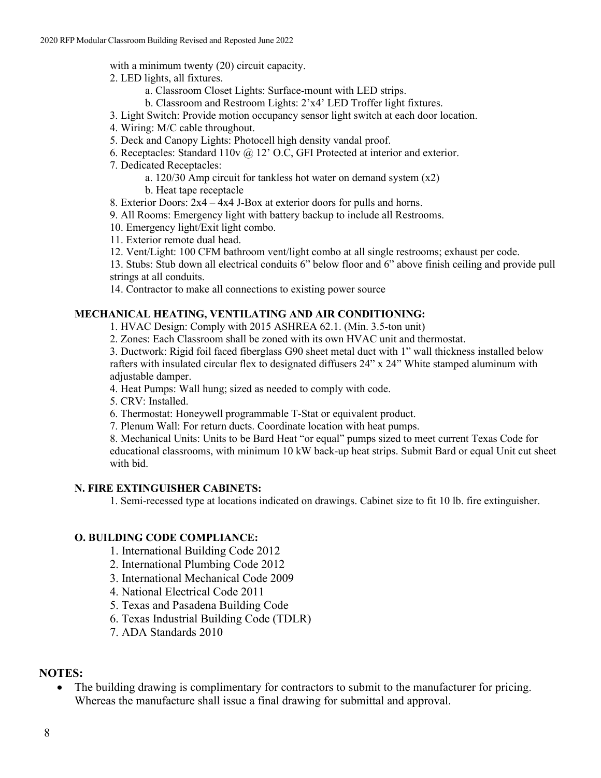with a minimum twenty (20) circuit capacity.

- 2. LED lights, all fixtures.
	- a. Classroom Closet Lights: Surface-mount with LED strips.
	- b. Classroom and Restroom Lights: 2'x4' LED Troffer light fixtures.
- 3. Light Switch: Provide motion occupancy sensor light switch at each door location.
- 4. Wiring: M/C cable throughout.
- 5. Deck and Canopy Lights: Photocell high density vandal proof.
- 6. Receptacles: Standard 110v @ 12' O.C, GFI Protected at interior and exterior.
- 7. Dedicated Receptacles:
	- a. 120/30 Amp circuit for tankless hot water on demand system (x2)
	- b. Heat tape receptacle
- 8. Exterior Doors: 2x4 4x4 J-Box at exterior doors for pulls and horns.
- 9. All Rooms: Emergency light with battery backup to include all Restrooms.
- 10. Emergency light/Exit light combo.
- 11. Exterior remote dual head.
- 12. Vent/Light: 100 CFM bathroom vent/light combo at all single restrooms; exhaust per code.
- 13. Stubs: Stub down all electrical conduits 6" below floor and 6" above finish ceiling and provide pull strings at all conduits.
- 14. Contractor to make all connections to existing power source

# **MECHANICAL HEATING, VENTILATING AND AIR CONDITIONING:**

- 1. HVAC Design: Comply with 2015 ASHREA 62.1. (Min. 3.5-ton unit)
- 2. Zones: Each Classroom shall be zoned with its own HVAC unit and thermostat.

3. Ductwork: Rigid foil faced fiberglass G90 sheet metal duct with 1" wall thickness installed below rafters with insulated circular flex to designated diffusers 24" x 24" White stamped aluminum with adjustable damper.

4. Heat Pumps: Wall hung; sized as needed to comply with code.

5. CRV: Installed.

- 6. Thermostat: Honeywell programmable T-Stat or equivalent product.
- 7. Plenum Wall: For return ducts. Coordinate location with heat pumps.
- 8. Mechanical Units: Units to be Bard Heat "or equal" pumps sized to meet current Texas Code for educational classrooms, with minimum 10 kW back-up heat strips. Submit Bard or equal Unit cut sheet with bid.

# **N. FIRE EXTINGUISHER CABINETS:**

1. Semi-recessed type at locations indicated on drawings. Cabinet size to fit 10 lb. fire extinguisher.

# **O. BUILDING CODE COMPLIANCE:**

1. International Building Code 2012

- 2. International Plumbing Code 2012
- 3. International Mechanical Code 2009
- 4. National Electrical Code 2011
- 5. Texas and Pasadena Building Code
- 6. Texas Industrial Building Code (TDLR)
- 7. ADA Standards 2010

# **NOTES:**

• The building drawing is complimentary for contractors to submit to the manufacturer for pricing. Whereas the manufacture shall issue a final drawing for submittal and approval.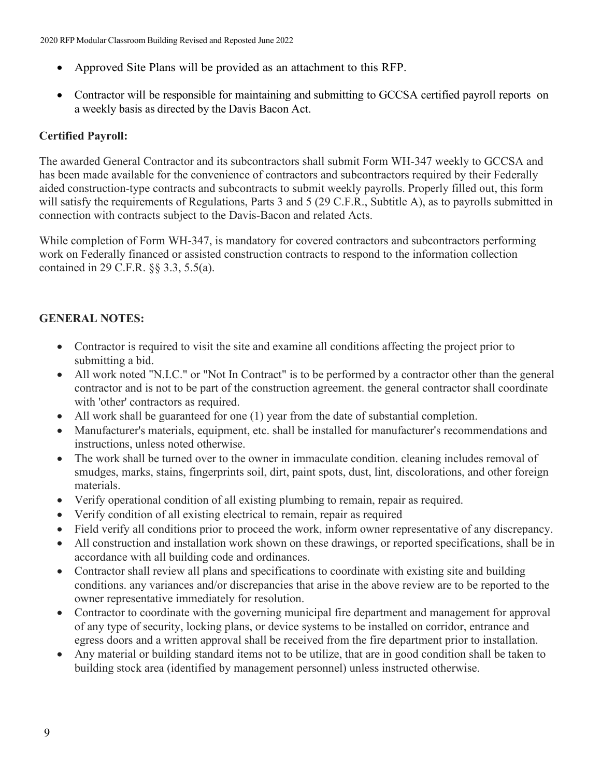- Approved Site Plans will be provided as an attachment to this RFP.
- Contractor will be responsible for maintaining and submitting to GCCSA certified payroll reports on a weekly basis as directed by the Davis Bacon Act.

# **Certified Payroll:**

The awarded General Contractor and its subcontractors shall submit Form WH-347 weekly to GCCSA and has been made available for the convenience of contractors and subcontractors required by their Federally aided construction-type contracts and subcontracts to submit weekly payrolls. Properly filled out, this form will satisfy the requirements of Regulations, Parts 3 and 5 (29 C.F.R., Subtitle A), as to payrolls submitted in connection with contracts subject to the Davis-Bacon and related Acts.

While completion of Form WH-347, is mandatory for covered contractors and subcontractors performing work on Federally financed or assisted construction contracts to respond to the information collection contained in 29 C.F.R. §§ 3.3, 5.5(a).

# **GENERAL NOTES:**

- Contractor is required to visit the site and examine all conditions affecting the project prior to submitting a bid.
- All work noted "N.I.C." or "Not In Contract" is to be performed by a contractor other than the general contractor and is not to be part of the construction agreement. the general contractor shall coordinate with 'other' contractors as required.
- All work shall be guaranteed for one (1) year from the date of substantial completion.
- Manufacturer's materials, equipment, etc. shall be installed for manufacturer's recommendations and instructions, unless noted otherwise.
- The work shall be turned over to the owner in immaculate condition. cleaning includes removal of smudges, marks, stains, fingerprints soil, dirt, paint spots, dust, lint, discolorations, and other foreign materials.
- Verify operational condition of all existing plumbing to remain, repair as required.
- Verify condition of all existing electrical to remain, repair as required
- Field verify all conditions prior to proceed the work, inform owner representative of any discrepancy.
- All construction and installation work shown on these drawings, or reported specifications, shall be in accordance with all building code and ordinances.
- Contractor shall review all plans and specifications to coordinate with existing site and building conditions. any variances and/or discrepancies that arise in the above review are to be reported to the owner representative immediately for resolution.
- Contractor to coordinate with the governing municipal fire department and management for approval of any type of security, locking plans, or device systems to be installed on corridor, entrance and egress doors and a written approval shall be received from the fire department prior to installation.
- Any material or building standard items not to be utilize, that are in good condition shall be taken to building stock area (identified by management personnel) unless instructed otherwise.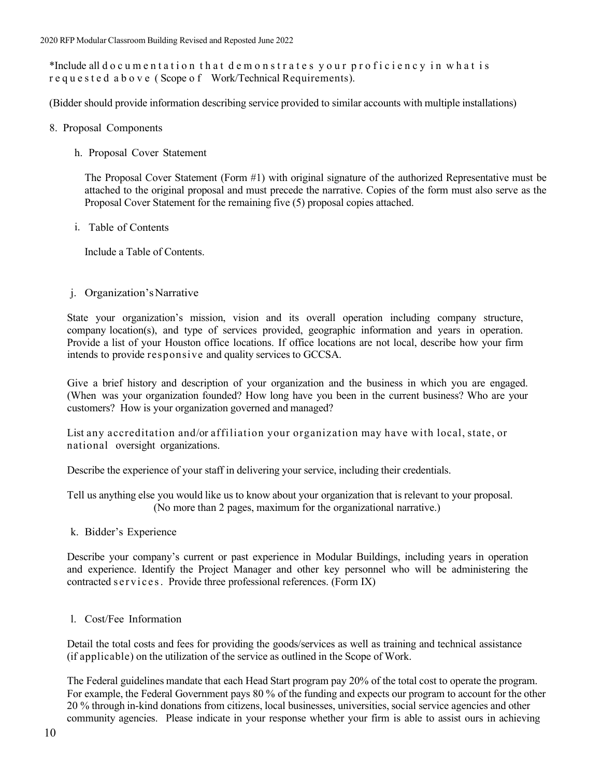\*Include all documentation that demonstrates your proficiency in what is requested above ( Scope o f Work/Technical Requirements).

(Bidder should provide information describing service provided to similar accounts with multiple installations)

- 8. Proposal Components
	- h. Proposal Cover Statement

The Proposal Cover Statement (Form #1) with original signature of the authorized Representative must be attached to the original proposal and must precede the narrative. Copies of the form must also serve as the Proposal Cover Statement for the remaining five (5) proposal copies attached.

i. Table of Contents

Include a Table of Contents.

#### j. Organization'sNarrative

State your organization's mission, vision and its overall operation including company structure, company location(s), and type of services provided, geographic information and years in operation. Provide a list of your Houston office locations. If office locations are not local, describe how your firm intends to provide responsive and quality services to GCCSA.

Give a brief history and description of your organization and the business in which you are engaged. (When was your organization founded? How long have you been in the current business? Who are your customers? How is your organization governed and managed?

List any accreditation and/or affiliation your organization may have with local, state, or national oversight organizations.

Describe the experience of your staff in delivering your service, including their credentials.

Tell us anything else you would like us to know about your organization that is relevant to your proposal. (No more than 2 pages, maximum for the organizational narrative.)

k. Bidder's Experience

Describe your company's current or past experience in Modular Buildings, including years in operation and experience. Identify the Project Manager and other key personnel who will be administering the contracted services. Provide three professional references. (Form IX)

l. Cost/Fee Information

Detail the total costs and fees for providing the goods/services as well as training and technical assistance (if applicable) on the utilization of the service as outlined in the Scope of Work.

The Federal guidelines mandate that each Head Start program pay 20% of the total cost to operate the program. For example, the Federal Government pays 80 % of the funding and expects our program to account for the other 20 % through in-kind donations from citizens, local businesses, universities, social service agencies and other community agencies. Please indicate in your response whether your firm is able to assist ours in achieving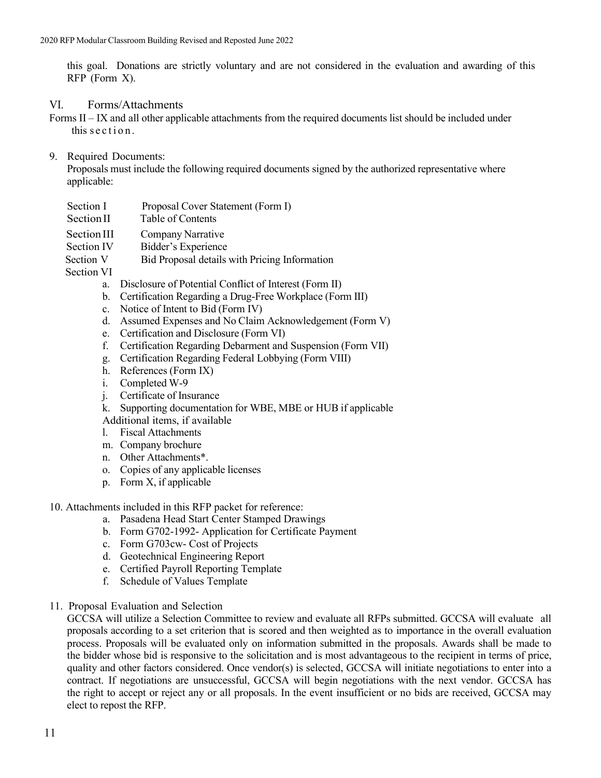this goal. Donations are strictly voluntary and are not considered in the evaluation and awarding of this RFP (Form X).

#### VI. Forms/Attachments

Forms II – IX and all other applicable attachments from the required documents list should be included under this section .

#### 9. Required Documents:

Proposals must include the following required documents signed by the authorized representative where applicable:

Section I Proposal Cover Statement (Form I)

Section II Table of Contents

- Section III Company Narrative
- Section IV Bidder's Experience<br>Section V Bid Proposal details
	- Bid Proposal details with Pricing Information

Section VI

- a. Disclosure of Potential Conflict of Interest (Form II)
- b. Certification Regarding a Drug-Free Workplace (Form III)
- c. Notice of Intent to Bid (Form IV)
- d. Assumed Expenses and No Claim Acknowledgement (Form V)
- e. Certification and Disclosure (Form VI)
- f. Certification Regarding Debarment and Suspension (Form VII)
- g. Certification Regarding Federal Lobbying (Form VIII)
- h. References (Form IX)
- i. Completed W-9
- j. Certificate of Insurance
- k. Supporting documentation for WBE, MBE or HUB if applicable
- Additional items, if available
- l. Fiscal Attachments
- m. Company brochure
- n. Other Attachments\*.
- o. Copies of any applicable licenses
- p. Form X, if applicable
- 10. Attachments included in this RFP packet for reference:
	- a. Pasadena Head Start Center Stamped Drawings
	- b. Form G702-1992- Application for Certificate Payment
	- c. Form G703cw- Cost of Projects
	- d. Geotechnical Engineering Report
	- e. Certified Payroll Reporting Template
	- f. Schedule of Values Template
- 11. Proposal Evaluation and Selection

GCCSA will utilize a Selection Committee to review and evaluate all RFPs submitted. GCCSA will evaluate all proposals according to a set criterion that is scored and then weighted as to importance in the overall evaluation process. Proposals will be evaluated only on information submitted in the proposals. Awards shall be made to the bidder whose bid is responsive to the solicitation and is most advantageous to the recipient in terms of price, quality and other factors considered. Once vendor(s) is selected, GCCSA will initiate negotiations to enter into a contract. If negotiations are unsuccessful, GCCSA will begin negotiations with the next vendor. GCCSA has the right to accept or reject any or all proposals. In the event insufficient or no bids are received, GCCSA may elect to repost the RFP.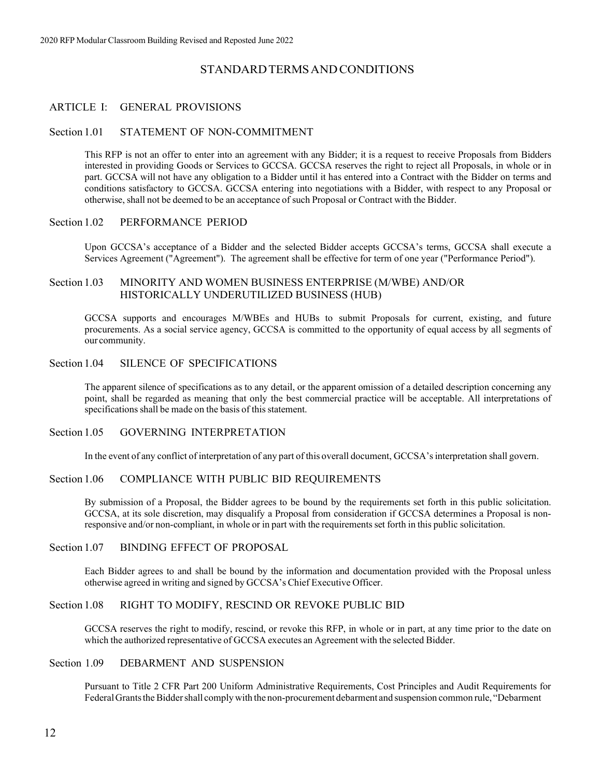# STANDARDTERMSANDCONDITIONS

#### ARTICLE I: GENERAL PROVISIONS

#### Section 1.01 STATEMENT OF NON-COMMITMENT

This RFP is not an offer to enter into an agreement with any Bidder; it is a request to receive Proposals from Bidders interested in providing Goods or Services to GCCSA. GCCSA reserves the right to reject all Proposals, in whole or in part. GCCSA will not have any obligation to a Bidder until it has entered into a Contract with the Bidder on terms and conditions satisfactory to GCCSA. GCCSA entering into negotiations with a Bidder, with respect to any Proposal or otherwise, shall not be deemed to be an acceptance of such Proposal or Contract with the Bidder.

#### Section 1.02 PERFORMANCE PERIOD

Upon GCCSA's acceptance of a Bidder and the selected Bidder accepts GCCSA's terms, GCCSA shall execute a Services Agreement ("Agreement"). The agreement shall be effective for term of one year ("Performance Period").

#### Section 1.03 MINORITY AND WOMEN BUSINESS ENTERPRISE (M/WBE) AND/OR HISTORICALLY UNDERUTILIZED BUSINESS (HUB)

GCCSA supports and encourages M/WBEs and HUBs to submit Proposals for current, existing, and future procurements. As a social service agency, GCCSA is committed to the opportunity of equal access by all segments of our community.

#### Section 1.04 SILENCE OF SPECIFICATIONS

The apparent silence of specifications as to any detail, or the apparent omission of a detailed description concerning any point, shall be regarded as meaning that only the best commercial practice will be acceptable. All interpretations of specifications shall be made on the basis of this statement.

#### Section 1.05 GOVERNING INTERPRETATION

In the event of any conflict of interpretation of any part of this overall document, GCCSA's interpretation shall govern.

#### Section 1.06 COMPLIANCE WITH PUBLIC BID REQUIREMENTS

By submission of a Proposal, the Bidder agrees to be bound by the requirements set forth in this public solicitation. GCCSA, at its sole discretion, may disqualify a Proposal from consideration if GCCSA determines a Proposal is nonresponsive and/or non-compliant, in whole or in part with the requirementsset forth in this public solicitation.

#### Section 1.07 BINDING EFFECT OF PROPOSAL

Each Bidder agrees to and shall be bound by the information and documentation provided with the Proposal unless otherwise agreed in writing and signed by GCCSA's Chief Executive Officer.

#### Section 1.08 RIGHT TO MODIFY, RESCIND OR REVOKE PUBLIC BID

GCCSA reserves the right to modify, rescind, or revoke this RFP, in whole or in part, at any time prior to the date on which the authorized representative of GCCSA executes an Agreement with the selected Bidder.

#### Section 1.09 DEBARMENT AND SUSPENSION

Pursuant to Title 2 CFR Part 200 Uniform Administrative Requirements, Cost Principles and Audit Requirements for FederalGrantstheBiddershall comply with the non-procurement debarment and suspension common rule, "Debarment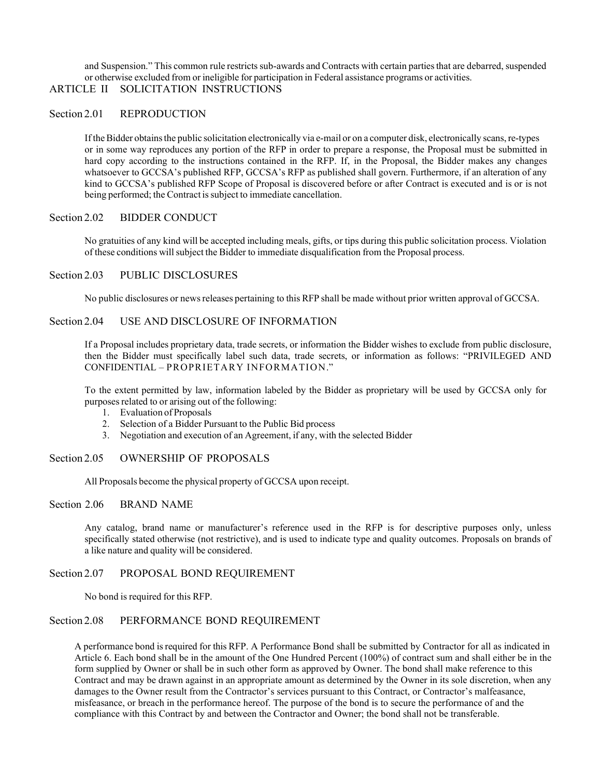and Suspension." This common rule restricts sub-awards and Contracts with certain parties that are debarred, suspended or otherwise excluded from or ineligible for participation in Federal assistance programs or activities.

# ARTICLE II SOLICITATION INSTRUCTIONS

#### Section 2.01 REPRODUCTION

If the Bidder obtains the public solicitation electronically via e-mail or on a computer disk, electronically scans, re-types or in some way reproduces any portion of the RFP in order to prepare a response, the Proposal must be submitted in hard copy according to the instructions contained in the RFP. If, in the Proposal, the Bidder makes any changes whatsoever to GCCSA's published RFP, GCCSA's RFP as published shall govern. Furthermore, if an alteration of any kind to GCCSA's published RFP Scope of Proposal is discovered before or after Contract is executed and is or is not being performed; the Contract is subject to immediate cancellation.

#### Section 2.02 BIDDER CONDUCT

No gratuities of any kind will be accepted including meals, gifts, or tips during this public solicitation process. Violation of these conditions willsubject the Bidder to immediate disqualification from the Proposal process.

#### Section 2.03 PUBLIC DISCLOSURES

No public disclosures or newsreleases pertaining to this RFP shall be made without prior written approval of GCCSA.

#### Section 2.04 USE AND DISCLOSURE OF INFORMATION

If a Proposal includes proprietary data, trade secrets, or information the Bidder wishes to exclude from public disclosure, then the Bidder must specifically label such data, trade secrets, or information as follows: "PRIVILEGED AND CONFIDENTIAL – PROPRIETARY INFORMATION."

To the extent permitted by law, information labeled by the Bidder as proprietary will be used by GCCSA only for purposes related to or arising out of the following:

- 1. Evaluation of Proposals
- 2. Selection of a Bidder Pursuant to the Public Bid process
- 3. Negotiation and execution of an Agreement, if any, with the selected Bidder

#### Section 2.05 OWNERSHIP OF PROPOSALS

All Proposals become the physical property of GCCSA upon receipt.

#### Section 2.06 BRAND NAME

Any catalog, brand name or manufacturer's reference used in the RFP is for descriptive purposes only, unless specifically stated otherwise (not restrictive), and is used to indicate type and quality outcomes. Proposals on brands of a like nature and quality will be considered.

#### Section 2.07 PROPOSAL BOND REQUIREMENT

No bond is required for this RFP.

#### Section 2.08 PERFORMANCE BOND REQUIREMENT

A performance bond isrequired for this RFP. A Performance Bond shall be submitted by Contractor for all as indicated in Article 6. Each bond shall be in the amount of the One Hundred Percent (100%) of contract sum and shall either be in the form supplied by Owner or shall be in such other form as approved by Owner. The bond shall make reference to this Contract and may be drawn against in an appropriate amount as determined by the Owner in its sole discretion, when any damages to the Owner result from the Contractor's services pursuant to this Contract, or Contractor's malfeasance, misfeasance, or breach in the performance hereof. The purpose of the bond is to secure the performance of and the compliance with this Contract by and between the Contractor and Owner; the bond shall not be transferable.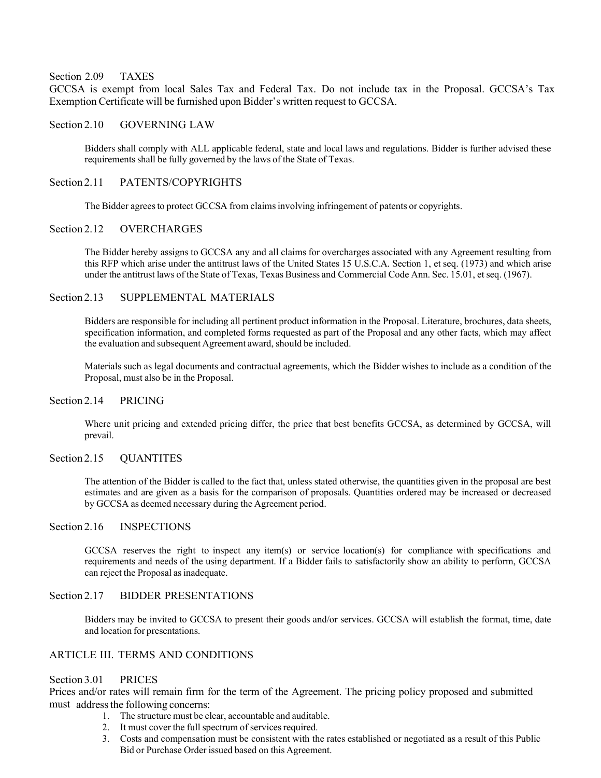#### Section 2.09 TAXES

GCCSA is exempt from local Sales Tax and Federal Tax. Do not include tax in the Proposal. GCCSA's Tax Exemption Certificate will be furnished upon Bidder's written request to GCCSA.

#### Section 2.10 GOVERNING LAW

Bidders shall comply with ALL applicable federal, state and local laws and regulations. Bidder is further advised these requirements shall be fully governed by the laws of the State of Texas.

#### Section 2.11 PATENTS/COPYRIGHTS

The Bidder agrees to protect GCCSA from claims involving infringement of patents or copyrights.

#### Section 2.12 OVERCHARGES

The Bidder hereby assigns to GCCSA any and all claims for overcharges associated with any Agreement resulting from this RFP which arise under the antitrust laws of the United States 15 U.S.C.A. Section 1, et seq. (1973) and which arise under the antitrust laws of the State of Texas, Texas Business and Commercial Code Ann. Sec. 15.01, et seq. (1967).

#### Section 2.13 SUPPLEMENTAL MATERIALS

Bidders are responsible for including all pertinent product information in the Proposal. Literature, brochures, data sheets, specification information, and completed forms requested as part of the Proposal and any other facts, which may affect the evaluation and subsequent Agreement award, should be included.

Materials such as legal documents and contractual agreements, which the Bidder wishes to include as a condition of the Proposal, must also be in the Proposal.

#### Section 2.14 PRICING

Where unit pricing and extended pricing differ, the price that best benefits GCCSA, as determined by GCCSA, will prevail.

#### Section 2.15 QUANTITES

The attention of the Bidder is called to the fact that, unless stated otherwise, the quantities given in the proposal are best estimates and are given as a basis for the comparison of proposals. Quantities ordered may be increased or decreased by GCCSA as deemed necessary during the Agreement period.

#### Section 2.16 **INSPECTIONS**

GCCSA reserves the right to inspect any item(s) or service location(s) for compliance with specifications and requirements and needs of the using department. If a Bidder fails to satisfactorily show an ability to perform, GCCSA can reject the Proposal as inadequate.

#### Section 2.17 BIDDER PRESENTATIONS

Bidders may be invited to GCCSA to present their goods and/or services. GCCSA will establish the format, time, date and location for presentations.

#### ARTICLE III. TERMS AND CONDITIONS

#### Section 3.01 PRICES

Prices and/or rates will remain firm for the term of the Agreement. The pricing policy proposed and submitted must address the following concerns:

- 1. The structure must be clear, accountable and auditable.
- 2. It must cover the full spectrum of services required.
- 3. Costs and compensation must be consistent with the rates established or negotiated as a result of this Public Bid or Purchase Order issued based on this Agreement.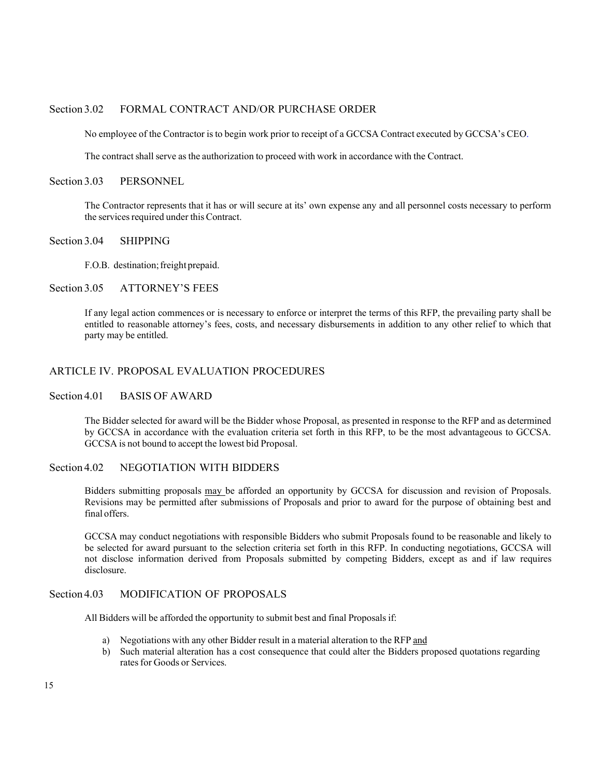#### Section 3.02 FORMAL CONTRACT AND/OR PURCHASE ORDER

No employee of the Contractor isto begin work prior to receipt of a GCCSA Contract executed by GCCSA's CEO.

The contract shall serve as the authorization to proceed with work in accordance with the Contract.

#### Section 3.03 PERSONNEL

The Contractor represents that it has or will secure at its' own expense any and all personnel costs necessary to perform the services required under this Contract.

#### Section 3.04 SHIPPING

F.O.B. destination; freight prepaid.

#### Section 3.05 ATTORNEY'S FEES

If any legal action commences or is necessary to enforce or interpret the terms of this RFP, the prevailing party shall be entitled to reasonable attorney's fees, costs, and necessary disbursements in addition to any other relief to which that party may be entitled.

#### ARTICLE IV. PROPOSAL EVALUATION PROCEDURES

#### Section 4.01 BASIS OF AWARD

The Bidder selected for award will be the Bidder whose Proposal, as presented in response to the RFP and as determined by GCCSA in accordance with the evaluation criteria set forth in this RFP, to be the most advantageous to GCCSA. GCCSA is not bound to accept the lowest bid Proposal.

#### Section 4.02 NEGOTIATION WITH BIDDERS

Bidders submitting proposals may be afforded an opportunity by GCCSA for discussion and revision of Proposals. Revisions may be permitted after submissions of Proposals and prior to award for the purpose of obtaining best and final offers.

GCCSA may conduct negotiations with responsible Bidders who submit Proposals found to be reasonable and likely to be selected for award pursuant to the selection criteria set forth in this RFP. In conducting negotiations, GCCSA will not disclose information derived from Proposals submitted by competing Bidders, except as and if law requires disclosure.

#### Section 4.03 MODIFICATION OF PROPOSALS

All Bidders will be afforded the opportunity to submit best and final Proposals if:

- a) Negotiations with any other Bidder result in a material alteration to the RFP and
- b) Such material alteration has a cost consequence that could alter the Bidders proposed quotations regarding rates for Goods or Services.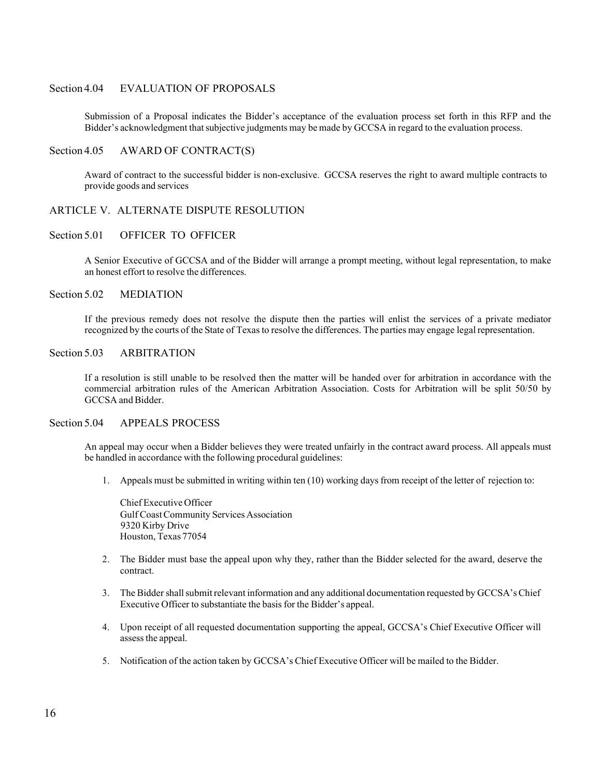#### Section 4.04 EVALUATION OF PROPOSALS

Submission of a Proposal indicates the Bidder's acceptance of the evaluation process set forth in this RFP and the Bidder's acknowledgment that subjective judgments may be made by GCCSA in regard to the evaluation process.

#### Section 4.05 AWARD OF CONTRACT(S)

Award of contract to the successful bidder is non-exclusive. GCCSA reserves the right to award multiple contracts to provide goods and services

#### ARTICLE V. ALTERNATE DISPUTE RESOLUTION

#### Section 5.01 OFFICER TO OFFICER

A Senior Executive of GCCSA and of the Bidder will arrange a prompt meeting, without legal representation, to make an honest effort to resolve the differences.

#### Section 5.02 MEDIATION

If the previous remedy does not resolve the dispute then the parties will enlist the services of a private mediator recognized by the courts of the State of Texasto resolve the differences. The parties may engage legal representation.

#### Section 5.03 ARBITRATION

If a resolution is still unable to be resolved then the matter will be handed over for arbitration in accordance with the commercial arbitration rules of the American Arbitration Association. Costs for Arbitration will be split 50/50 by GCCSA and Bidder.

#### Section 5.04 APPEALS PROCESS

An appeal may occur when a Bidder believes they were treated unfairly in the contract award process. All appeals must be handled in accordance with the following procedural guidelines:

1. Appeals must be submitted in writing within ten (10) working daysfrom receipt of the letter of rejection to:

Chief Executive Officer Gulf CoastCommunity Services Association 9320 Kirby Drive Houston, Texas 77054

- 2. The Bidder must base the appeal upon why they, rather than the Bidder selected for the award, deserve the contract.
- 3. The Bidder shall submit relevant information and any additional documentation requested by GCCSA's Chief Executive Officer to substantiate the basis for the Bidder's appeal.
- 4. Upon receipt of all requested documentation supporting the appeal, GCCSA's Chief Executive Officer will assess the appeal.
- 5. Notification of the action taken by GCCSA's Chief Executive Officer will be mailed to the Bidder.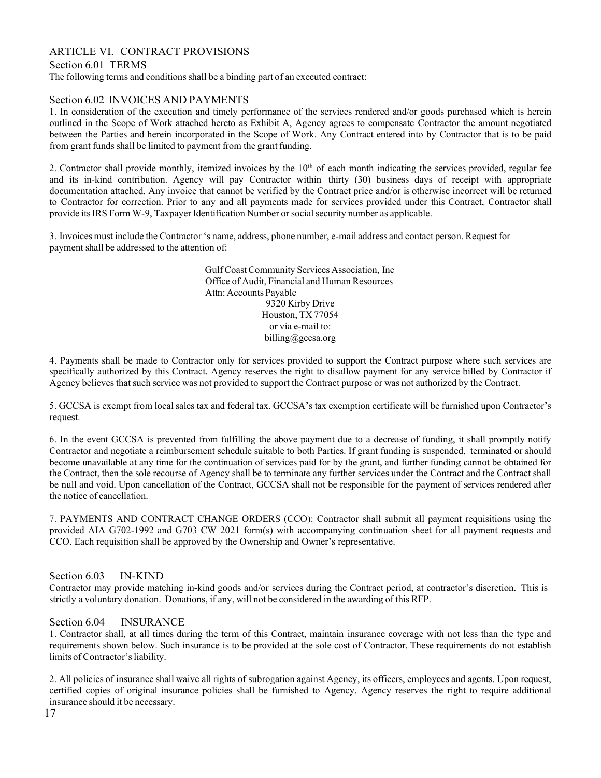## ARTICLE VI. CONTRACT PROVISIONS

Section 6.01 TERMS

The following terms and conditions shall be a binding part of an executed contract:

#### Section 6.02 INVOICES AND PAYMENTS

1. In consideration of the execution and timely performance of the services rendered and/or goods purchased which is herein outlined in the Scope of Work attached hereto as Exhibit A, Agency agrees to compensate Contractor the amount negotiated between the Parties and herein incorporated in the Scope of Work. Any Contract entered into by Contractor that is to be paid from grant funds shall be limited to payment from the grant funding.

2. Contractor shall provide monthly, itemized invoices by the  $10<sup>th</sup>$  of each month indicating the services provided, regular fee and its in-kind contribution. Agency will pay Contractor within thirty (30) business days of receipt with appropriate documentation attached. Any invoice that cannot be verified by the Contract price and/or is otherwise incorrect will be returned to Contractor for correction. Prior to any and all payments made for services provided under this Contract, Contractor shall provide itsIRS Form W-9, Taxpayer Identification Number or socialsecurity number as applicable.

3. Invoices must include the Contractor 's name, address, phone number, e-mail address and contact person. Request for payment shall be addressed to the attention of:

> Gulf CoastCommunity Services Association, Inc Office of Audit, Financial and Human Resources Attn: Accounts Payable 9320 Kirby Drive Houston, TX 77054 or via e-mail to[:](mailto:billing@gccsa.org) [billing@gccsa.org](mailto:billing@gccsa.org)

4. Payments shall be made to Contractor only for services provided to support the Contract purpose where such services are specifically authorized by this Contract. Agency reserves the right to disallow payment for any service billed by Contractor if Agency believesthat such service was not provided to support the Contract purpose or was not authorized by the Contract.

5. GCCSA is exempt from local sales tax and federal tax. GCCSA's tax exemption certificate will be furnished upon Contractor's request.

6. In the event GCCSA is prevented from fulfilling the above payment due to a decrease of funding, it shall promptly notify Contractor and negotiate a reimbursement schedule suitable to both Parties. If grant funding is suspended, terminated or should become unavailable at any time for the continuation of services paid for by the grant, and further funding cannot be obtained for the Contract, then the sole recourse of Agency shall be to terminate any further services under the Contract and the Contract shall be null and void. Upon cancellation of the Contract, GCCSA shall not be responsible for the payment of services rendered after the notice of cancellation.

7. PAYMENTS AND CONTRACT CHANGE ORDERS (CCO): Contractor shall submit all payment requisitions using the provided AIA G702-1992 and G703 CW 2021 form(s) with accompanying continuation sheet for all payment requests and CCO. Each requisition shall be approved by the Ownership and Owner's representative.

#### Section 6.03 IN-KIND

Contractor may provide matching in-kind goods and/or services during the Contract period, at contractor's discretion. This is strictly a voluntary donation. Donations, if any, will not be considered in the awarding of this RFP.

#### Section 6.04 INSURANCE

1. Contractor shall, at all times during the term of this Contract, maintain insurance coverage with not less than the type and requirements shown below. Such insurance is to be provided at the sole cost of Contractor. These requirements do not establish limits of Contractor's liability.

2. All policies of insurance shall waive all rights of subrogation against Agency, its officers, employees and agents. Upon request, certified copies of original insurance policies shall be furnished to Agency. Agency reserves the right to require additional insurance should it be necessary.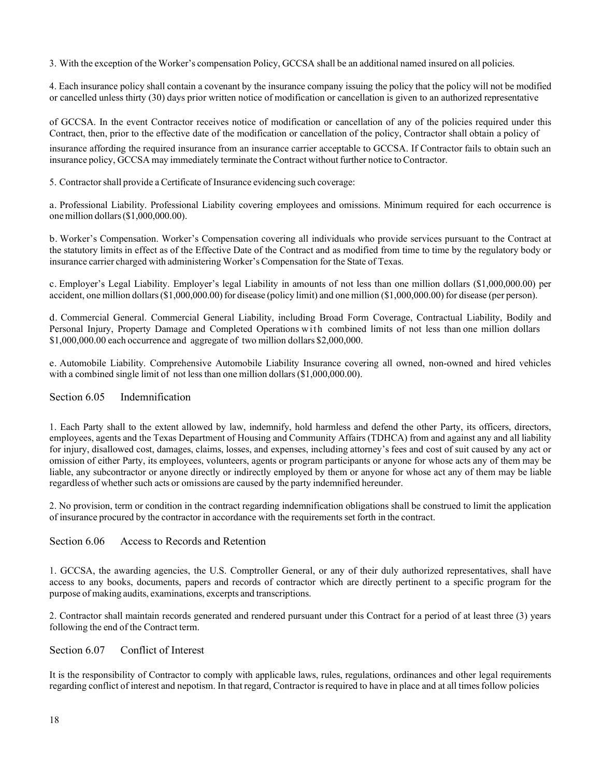3. With the exception of the Worker's compensation Policy, GCCSA shall be an additional named insured on all policies.

4. Each insurance policy shall contain a covenant by the insurance company issuing the policy that the policy will not be modified or cancelled unless thirty (30) days prior written notice of modification or cancellation is given to an authorized representative

of GCCSA. In the event Contractor receives notice of modification or cancellation of any of the policies required under this Contract, then, prior to the effective date of the modification or cancellation of the policy, Contractor shall obtain a policy of

insurance affording the required insurance from an insurance carrier acceptable to GCCSA. If Contractor fails to obtain such an insurance policy, GCCSA may immediately terminate the Contract without further notice to Contractor.

5. Contractorshall provide a Certificate of Insurance evidencing such coverage:

a. Professional Liability. Professional Liability covering employees and omissions. Minimum required for each occurrence is onemillion dollars(\$1,000,000.00).

b. Worker's Compensation. Worker's Compensation covering all individuals who provide services pursuant to the Contract at the statutory limits in effect as of the Effective Date of the Contract and as modified from time to time by the regulatory body or insurance carrier charged with administering Worker'sCompensation for the State of Texas.

c. Employer's Legal Liability. Employer's legal Liability in amounts of not less than one million dollars (\$1,000,000.00) per accident, one million dollars(\$1,000,000.00) for disease (policy limit) and one million (\$1,000,000.00) for disease (per person).

d. Commercial General. Commercial General Liability, including Broad Form Coverage, Contractual Liability, Bodily and Personal Injury, Property Damage and Completed Operations with combined limits of not less than one million dollars \$1,000,000.00 each occurrence and aggregate of two million dollars \$2,000,000.

e. Automobile Liability. Comprehensive Automobile Liability Insurance covering all owned, non-owned and hired vehicles with a combined single limit of not less than one million dollars (\$1,000,000.00).

#### Section 6.05 Indemnification

1. Each Party shall to the extent allowed by law, indemnify, hold harmless and defend the other Party, its officers, directors, employees, agents and the Texas Department of Housing and Community Affairs (TDHCA) from and against any and all liability for injury, disallowed cost, damages, claims, losses, and expenses, including attorney's fees and cost of suit caused by any act or omission of either Party, its employees, volunteers, agents or program participants or anyone for whose acts any of them may be liable, any subcontractor or anyone directly or indirectly employed by them or anyone for whose act any of them may be liable regardless of whether such acts or omissions are caused by the party indemnified hereunder.

2. No provision, term or condition in the contract regarding indemnification obligations shall be construed to limit the application of insurance procured by the contractor in accordance with the requirementsset forth in the contract.

#### Section 6.06 Access to Records and Retention

1. GCCSA, the awarding agencies, the U.S. Comptroller General, or any of their duly authorized representatives, shall have access to any books, documents, papers and records of contractor which are directly pertinent to a specific program for the purpose of making audits, examinations, excerpts and transcriptions.

2. Contractor shall maintain records generated and rendered pursuant under this Contract for a period of at least three (3) years following the end of the Contract term.

Section 6.07 Conflict of Interest

It is the responsibility of Contractor to comply with applicable laws, rules, regulations, ordinances and other legal requirements regarding conflict of interest and nepotism. In that regard, Contractor is required to have in place and at all times follow policies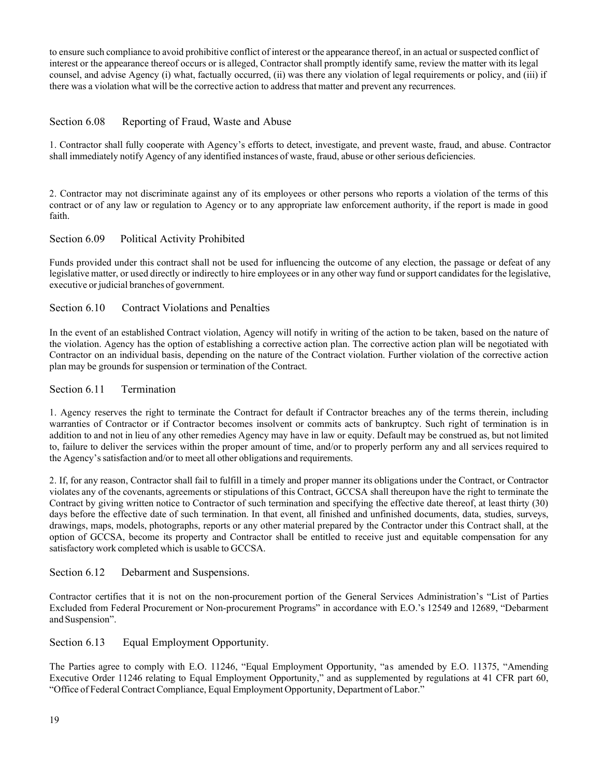to ensure such compliance to avoid prohibitive conflict of interest or the appearance thereof, in an actual or suspected conflict of interest or the appearance thereof occurs or is alleged, Contractor shall promptly identify same, review the matter with its legal counsel, and advise Agency (i) what, factually occurred, (ii) was there any violation of legal requirements or policy, and (iii) if there was a violation what will be the corrective action to address that matter and prevent any recurrences.

#### Section 6.08 Reporting of Fraud, Waste and Abuse

1. Contractor shall fully cooperate with Agency's efforts to detect, investigate, and prevent waste, fraud, and abuse. Contractor shall immediately notify Agency of any identified instances of waste, fraud, abuse or other serious deficiencies.

2. Contractor may not discriminate against any of its employees or other persons who reports a violation of the terms of this contract or of any law or regulation to Agency or to any appropriate law enforcement authority, if the report is made in good faith.

#### Section 6.09 Political Activity Prohibited

Funds provided under this contract shall not be used for influencing the outcome of any election, the passage or defeat of any legislative matter, or used directly or indirectly to hire employees or in any other way fund or support candidates for the legislative, executive or judicial branches of government.

#### Section 6.10 Contract Violations and Penalties

In the event of an established Contract violation, Agency will notify in writing of the action to be taken, based on the nature of the violation. Agency has the option of establishing a corrective action plan. The corrective action plan will be negotiated with Contractor on an individual basis, depending on the nature of the Contract violation. Further violation of the corrective action plan may be grounds for suspension or termination of the Contract.

#### Section 6.11 Termination

1. Agency reserves the right to terminate the Contract for default if Contractor breaches any of the terms therein, including warranties of Contractor or if Contractor becomes insolvent or commits acts of bankruptcy. Such right of termination is in addition to and not in lieu of any other remedies Agency may have in law or equity. Default may be construed as, but not limited to, failure to deliver the services within the proper amount of time, and/or to properly perform any and all services required to the Agency's satisfaction and/or to meet all other obligations and requirements.

2. If, for any reason, Contractor shall fail to fulfill in a timely and proper manner its obligations under the Contract, or Contractor violates any of the covenants, agreements or stipulations of this Contract, GCCSA shall thereupon have the right to terminate the Contract by giving written notice to Contractor of such termination and specifying the effective date thereof, at least thirty (30) days before the effective date of such termination. In that event, all finished and unfinished documents, data, studies, surveys, drawings, maps, models, photographs, reports or any other material prepared by the Contractor under this Contract shall, at the option of GCCSA, become its property and Contractor shall be entitled to receive just and equitable compensation for any satisfactory work completed which is usable to GCCSA.

#### Section 6.12 Debarment and Suspensions.

Contractor certifies that it is not on the non-procurement portion of the General Services Administration's "List of Parties Excluded from Federal Procurement or Non-procurement Programs" in accordance with E.O.'s 12549 and 12689, "Debarment and Suspension".

Section 6.13 Equal Employment Opportunity.

The Parties agree to comply with E.O. 11246, "Equal Employment Opportunity, "as amended by E.O. 11375, "Amending Executive Order 11246 relating to Equal Employment Opportunity," and as supplemented by regulations at 41 CFR part 60, "Office of Federal Contract Compliance, Equal Employment Opportunity, Department of Labor."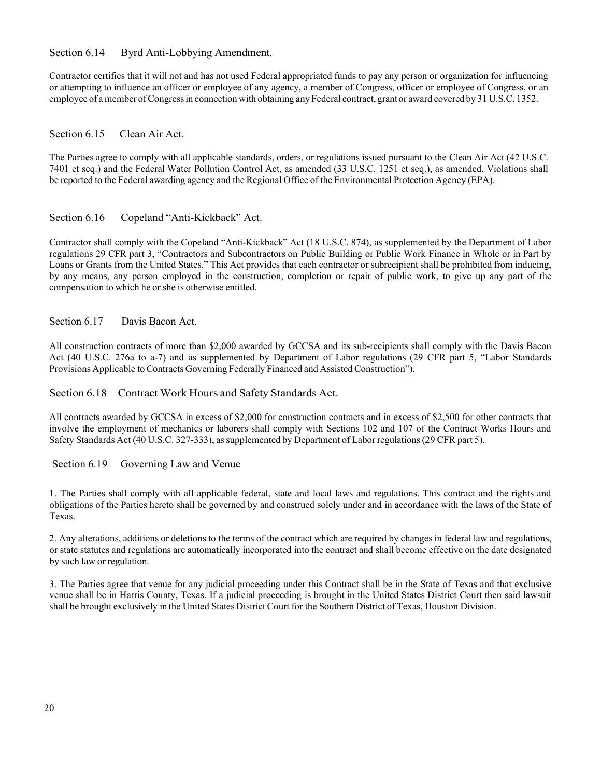Section 6.14 Byrd Anti-Lobbying Amendment.

Contractor certifies that it will not and has not used Federal appropriated funds to pay any person or organization for influencing or attempting to influence an officer or employee of any agency, a member of Congress, officer or employee of Congress, or an employee of a member ofCongressin connection with obtaining any Federal contract, grantor award covered by 31 U.S.C. 1352.

#### Section 6.15 Clean Air Act.

The Parties agree to comply with all applicable standards, orders, or regulations issued pursuant to the Clean Air Act (42 U.S.C. 7401 et seq.) and the Federal Water Pollution Control Act, as amended (33 U.S.C. 1251 et seq.), as amended. Violations shall be reported to the Federal awarding agency and the Regional Office of the Environmental Protection Agency (EPA).

#### Section 6.16 Copeland "Anti-Kickback" Act.

Contractor shall comply with the Copeland "Anti-Kickback" Act (18 U.S.C. 874), as supplemented by the Department of Labor regulations 29 CFR part 3, "Contractors and Subcontractors on Public Building or Public Work Finance in Whole or in Part by Loans or Grants from the United States." This Act provides that each contractor or subrecipient shall be prohibited from inducing, by any means, any person employed in the construction, completion or repair of public work, to give up any part of the compensation to which he or she is otherwise entitled.

#### Section 6.17 Davis Bacon Act.

All construction contracts of more than \$2,000 awarded by GCCSA and its sub-recipients shall comply with the Davis Bacon Act (40 U.S.C. 276a to a-7) and as supplemented by Department of Labor regulations (29 CFR part 5, "Labor Standards Provisions Applicable to Contracts Governing Federally Financed and Assisted Construction").

#### Section 6.18 Contract Work Hours and Safety Standards Act.

All contracts awarded by GCCSA in excess of \$2,000 for construction contracts and in excess of \$2,500 for other contracts that involve the employment of mechanics or laborers shall comply with Sections 102 and 107 of the Contract Works Hours and Safety Standards Act (40 U.S.C. 327-333), assupplemented by Department of Labor regulations(29 CFR part 5).

Section 6.19 Governing Law and Venue

1. The Parties shall comply with all applicable federal, state and local laws and regulations. This contract and the rights and obligations of the Parties hereto shall be governed by and construed solely under and in accordance with the laws of the State of Texas.

2. Any alterations, additions or deletions to the terms of the contract which are required by changes in federal law and regulations, or state statutes and regulations are automatically incorporated into the contract and shall become effective on the date designated by such law or regulation.

3. The Parties agree that venue for any judicial proceeding under this Contract shall be in the State of Texas and that exclusive venue shall be in Harris County, Texas. If a judicial proceeding is brought in the United States District Court then said lawsuit shall be brought exclusively in the United States District Court for the Southern District of Texas, Houston Division.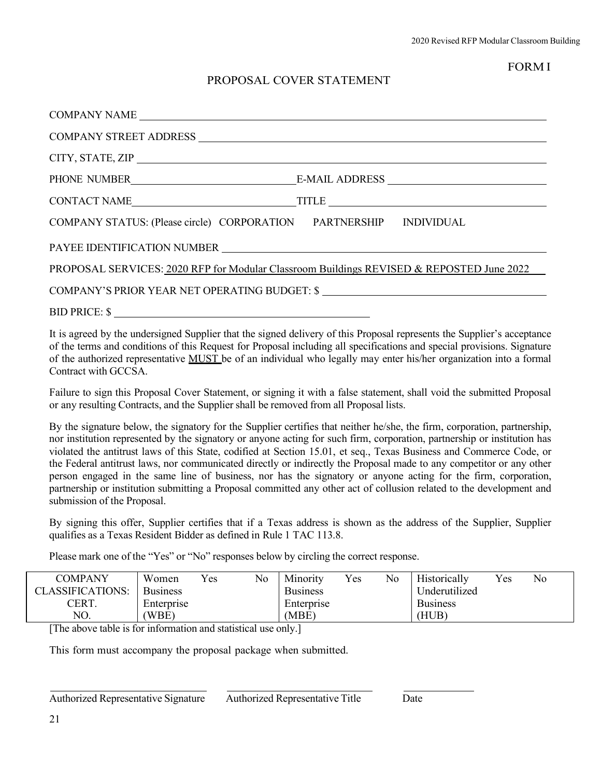## FORM I

# PROPOSAL COVER STATEMENT

| PHONE NUMBER<br>E-MAIL ADDRESS                                                           |
|------------------------------------------------------------------------------------------|
|                                                                                          |
| COMPANY STATUS: (Please circle) CORPORATION PARTNERSHIP INDIVIDUAL                       |
|                                                                                          |
| PROPOSAL SERVICES: 2020 RFP for Modular Classroom Buildings REVISED & REPOSTED June 2022 |
| COMPANY'S PRIOR YEAR NET OPERATING BUDGET: \$                                            |
| BID PRICE: \$                                                                            |

It is agreed by the undersigned Supplier that the signed delivery of this Proposal represents the Supplier's acceptance of the terms and conditions of this Request for Proposal including all specifications and special provisions. Signature of the authorized representative MUST be of an individual who legally may enter his/her organization into a formal Contract with GCCSA.

Failure to sign this Proposal Cover Statement, or signing it with a false statement, shall void the submitted Proposal or any resulting Contracts, and the Supplier shall be removed from all Proposal lists.

By the signature below, the signatory for the Supplier certifies that neither he/she, the firm, corporation, partnership, nor institution represented by the signatory or anyone acting for such firm, corporation, partnership or institution has violated the antitrust laws of this State, codified at Section 15.01, et seq., Texas Business and Commerce Code, or the Federal antitrust laws, nor communicated directly or indirectly the Proposal made to any competitor or any other person engaged in the same line of business, nor has the signatory or anyone acting for the firm, corporation, partnership or institution submitting a Proposal committed any other act of collusion related to the development and submission of the Proposal.

By signing this offer, Supplier certifies that if a Texas address is shown as the address of the Supplier, Supplier qualifies as a Texas Resident Bidder as defined in Rule 1 TAC 113.8.

Please mark one of the "Yes" or "No" responses below by circling the correct response.

| <b>COMPANY</b>          | Women           | Yes | No | Minority        | Yes | No | Historically    | Yes | No |
|-------------------------|-----------------|-----|----|-----------------|-----|----|-----------------|-----|----|
| <b>CLASSIFICATIONS:</b> | <b>Business</b> |     |    | <b>Business</b> |     |    | Underutilized   |     |    |
| CERT.                   | Enterprise      |     |    | Enterprise      |     |    | <b>Business</b> |     |    |
| NO.                     | (WBE)           |     |    | 'MBE)           |     |    | (HUB)           |     |    |

[The above table is for information and statistical use only.]

This form must accompany the proposal package when submitted.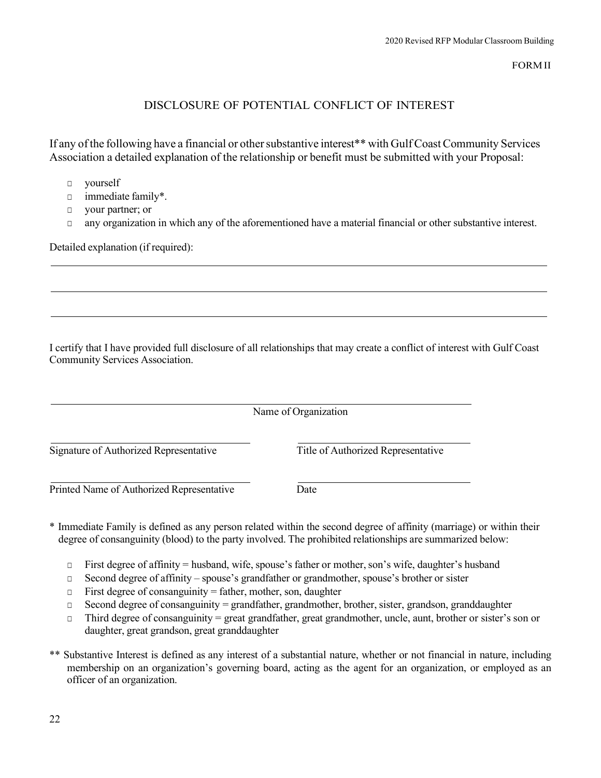FORMII

# DISCLOSURE OF POTENTIAL CONFLICT OF INTEREST

If any of the following have a financial or other substantive interest\*\* with Gulf Coast Community Services Association a detailed explanation of the relationship or benefit must be submitted with your Proposal:

- □ yourself
- □ immediate family\*.
- □ your partner; or
- □ any organization in which any of the aforementioned have a material financial or other substantive interest.

Detailed explanation (if required):

I certify that I have provided full disclosure of all relationships that may create a conflict of interest with Gulf Coast Community Services Association.

|                                           | Name of Organization               |
|-------------------------------------------|------------------------------------|
| Signature of Authorized Representative    | Title of Authorized Representative |
| Printed Name of Authorized Representative | Date                               |

- \* Immediate Family is defined as any person related within the second degree of affinity (marriage) or within their degree of consanguinity (blood) to the party involved. The prohibited relationships are summarized below:
	- □ First degree of affinity = husband, wife, spouse's father or mother,son's wife, daughter's husband
	- □ Second degree of affinity spouse's grandfather or grandmother, spouse's brother or sister
	- $\Box$  First degree of consanguinity = father, mother, son, daughter
	- □ Second degree of consanguinity = grandfather, grandmother, brother, sister, grandson, granddaughter
	- □ Third degree of consanguinity = great grandfather, great grandmother, uncle, aunt, brother or sister's son or daughter, great grandson, great granddaughter
- \*\* Substantive Interest is defined as any interest of a substantial nature, whether or not financial in nature, including membership on an organization's governing board, acting as the agent for an organization, or employed as an officer of an organization.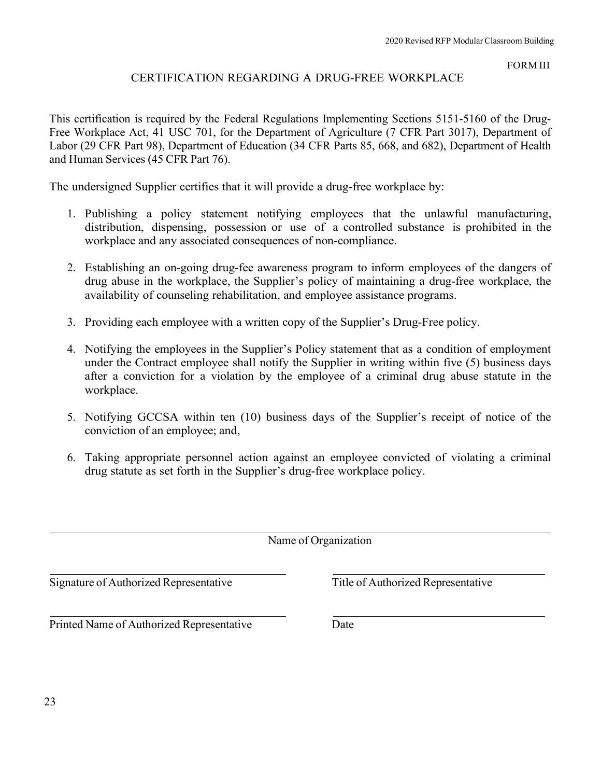FORM III

# CERTIFICATION REGARDING A DRUG-FREE WORKPLACE

This certification is required by the Federal Regulations Implementing Sections 5151-5160 of the Drug-Free Workplace Act, 41 USC 701, for the Department of Agriculture (7 CFR Part 3017), Department of Labor (29 CFR Part 98), Department of Education (34 CFR Parts 85, 668, and 682), Department of Health and Human Services (45 CFR Part 76).

The undersigned Supplier certifies that it will provide a drug-free workplace by:

- 1. Publishing a policy statement notifying employees that the unlawful manufacturing, distribution, dispensing, possession or use of a controlled substance is prohibited in the workplace and any associated consequences of non-compliance.
- 2. Establishing an on-going drug-fee awareness program to inform employees of the dangers of drug abuse in the workplace, the Supplier's policy of maintaining a drug-free workplace, the availability of counseling rehabilitation, and employee assistance programs.
- 3. Providing each employee with a written copy of the Supplier's Drug-Free policy.
- 4. Notifying the employees in the Supplier's Policy statement that as a condition of employment under the Contract employee shall notify the Supplier in writing within five (5) business days after a conviction for a violation by the employee of a criminal drug abuse statute in the workplace.
- 5. Notifying GCCSA within ten (10) business days of the Supplier's receipt of notice of the conviction of an employee; and,
- 6. Taking appropriate personnel action against an employee convicted of violating a criminal drug statute as set forth in the Supplier's drug-free workplace policy.

Name of Organization

Signature of Authorized Representative Title of Authorized Representative

Printed Name of Authorized Representative Date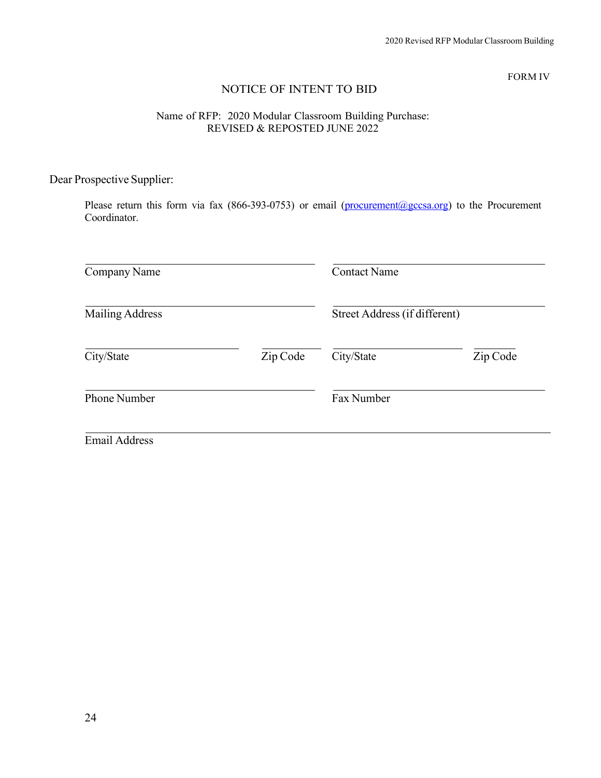FORM IV

# NOTICE OF INTENT TO BID

#### Name of RFP: 2020 Modular Classroom Building Purchase: REVISED & REPOSTED JUNE 2022

# Dear Prospective Supplier:

Please return this form via fax (866-393-0753) or email (procurement@gccsa.org) to the Procurement Coordinator.

| Company Name           |          | <b>Contact Name</b>           |          |  |
|------------------------|----------|-------------------------------|----------|--|
| <b>Mailing Address</b> |          | Street Address (if different) |          |  |
| City/State             | Zip Code | City/State                    | Zip Code |  |
| <b>Phone Number</b>    |          | Fax Number                    |          |  |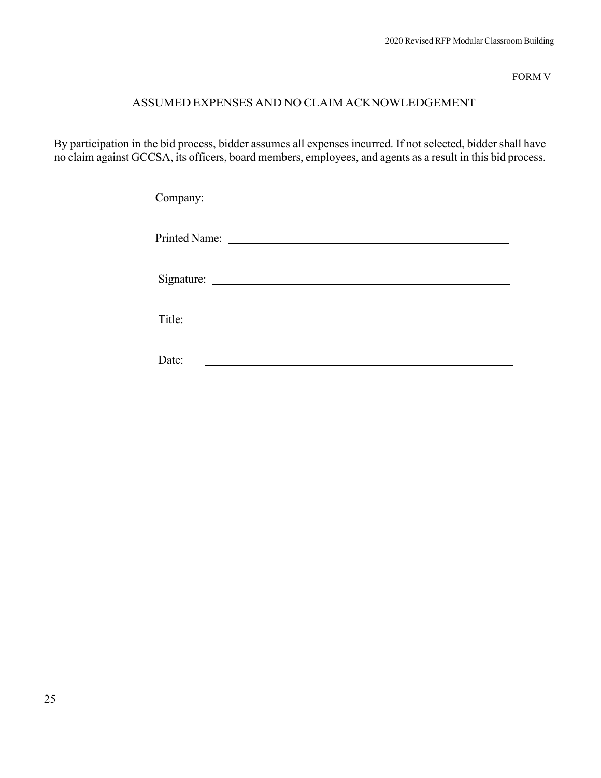FORM V

# ASSUMED EXPENSES AND NO CLAIM ACKNOWLEDGEMENT

By participation in the bid process, bidder assumes all expenses incurred. If not selected, bidder shall have no claim against GCCSA, its officers, board members, employees, and agents as a result in this bid process.

| Title: |
|--------|
| Date:  |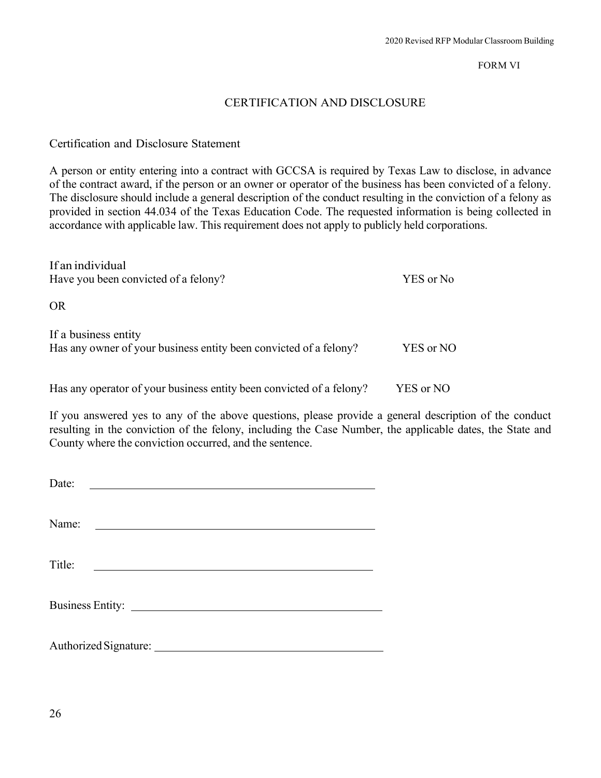#### FORM VI

# CERTIFICATION AND DISCLOSURE

#### Certification and Disclosure Statement

A person or entity entering into a contract with GCCSA is required by Texas Law to disclose, in advance of the contract award, if the person or an owner or operator of the business has been convicted of a felony. The disclosure should include a general description of the conduct resulting in the conviction of a felony as provided in section 44.034 of the Texas Education Code. The requested information is being collected in accordance with applicable law. This requirement does not apply to publicly held corporations.

| If an individual                                                     |           |
|----------------------------------------------------------------------|-----------|
| Have you been convicted of a felony?                                 | YES or No |
| <b>OR</b>                                                            |           |
| If a business entity                                                 |           |
| Has any owner of your business entity been convicted of a felony?    | YES or NO |
|                                                                      |           |
| Has any operator of your business entity been convicted of a felony? | YES or NO |

If you answered yes to any of the above questions, please provide a general description of the conduct resulting in the conviction of the felony, including the Case Number, the applicable dates, the State and County where the conviction occurred, and the sentence.

| Date:  | <u> 1989 - John Stein, mars and de Branch and de Branch and de Branch and de Branch and de Branch and de Branch an</u> |  |
|--------|------------------------------------------------------------------------------------------------------------------------|--|
| Name:  | <u> Alexandria de la contexta de la contexta de la contexta de la contexta de la contexta de la contexta de la c</u>   |  |
| Title: | <u> 1980 - Andrea Station Barbara, amerikan personal (h. 1980).</u>                                                    |  |
|        |                                                                                                                        |  |
|        |                                                                                                                        |  |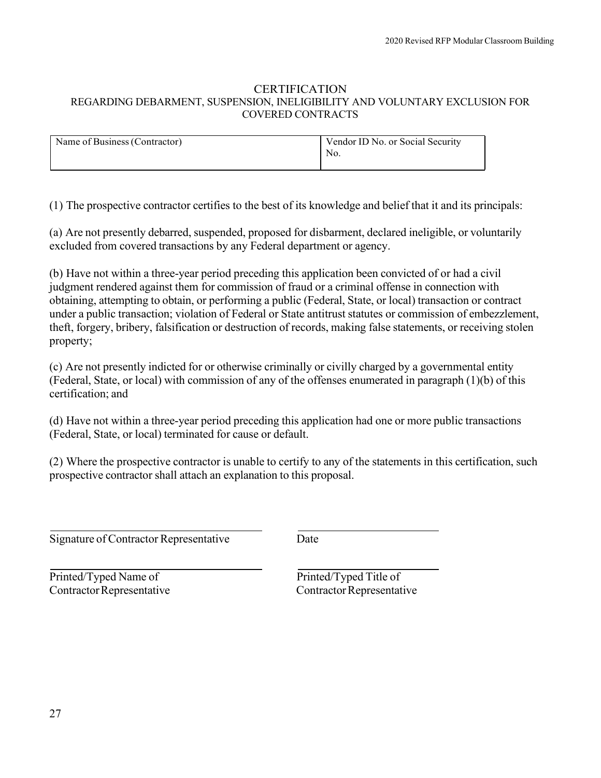#### **CERTIFICATION** REGARDING DEBARMENT, SUSPENSION, INELIGIBILITY AND VOLUNTARY EXCLUSION FOR COVERED CONTRACTS

| Name of Business (Contractor) | Vendor ID No. or Social Security<br>No. |
|-------------------------------|-----------------------------------------|
|                               |                                         |

(1) The prospective contractor certifies to the best of its knowledge and belief that it and its principals:

(a) Are not presently debarred, suspended, proposed for disbarment, declared ineligible, or voluntarily excluded from covered transactions by any Federal department or agency.

(b) Have not within a three-year period preceding this application been convicted of or had a civil judgment rendered against them for commission of fraud or a criminal offense in connection with obtaining, attempting to obtain, or performing a public (Federal, State, or local) transaction or contract under a public transaction; violation of Federal or State antitrust statutes or commission of embezzlement, theft, forgery, bribery, falsification or destruction of records, making false statements, or receiving stolen property;

(c) Are not presently indicted for or otherwise criminally or civilly charged by a governmental entity (Federal, State, or local) with commission of any of the offenses enumerated in paragraph (1)(b) of this certification; and

(d) Have not within a three-year period preceding this application had one or more public transactions (Federal, State, or local) terminated for cause or default.

(2) Where the prospective contractor is unable to certify to any of the statements in this certification, such prospective contractor shall attach an explanation to this proposal.

Signature of Contractor Representative Date

Printed/Typed Name of Printed/Typed Title of ContractorRepresentative ContractorRepresentative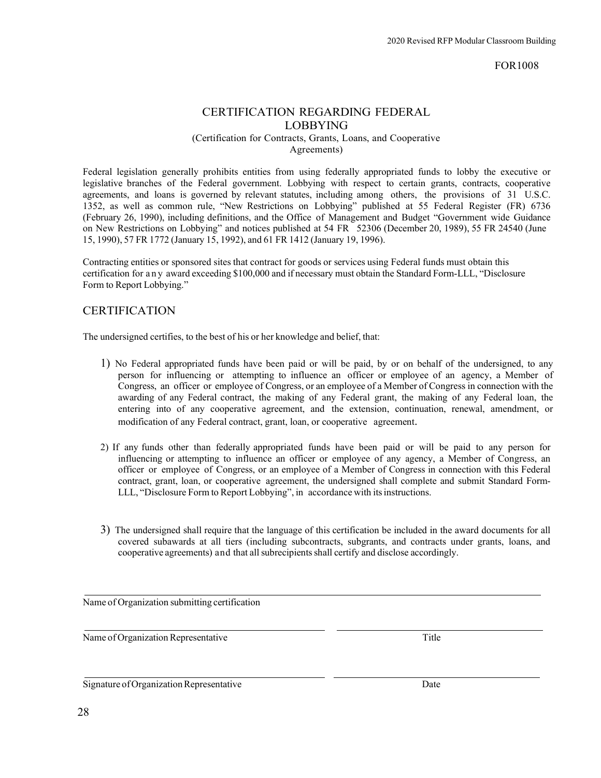FOR1008

# CERTIFICATION REGARDING FEDERAL LOBBYING

(Certification for Contracts, Grants, Loans, and Cooperative Agreements)

Federal legislation generally prohibits entities from using federally appropriated funds to lobby the executive or legislative branches of the Federal government. Lobbying with respect to certain grants, contracts, cooperative agreements, and loans is governed by relevant statutes, including among others, the provisions of 31 U.S.C. 1352, as well as common rule, "New Restrictions on Lobbying" published at 55 Federal Register (FR) 6736 (February 26, 1990), including definitions, and the Office of Management and Budget "Government wide Guidance on New Restrictions on Lobbying" and notices published at 54 FR 52306 (December 20, 1989), 55 FR 24540 (June 15, 1990), 57 FR 1772 (January 15, 1992), and 61 FR 1412 (January 19, 1996).

Contracting entities or sponsored sites that contract for goods or services using Federal funds must obtain this certification for any award exceeding \$100,000 and if necessary must obtain the Standard Form-LLL, "Disclosure Form to Report Lobbying."

## **CERTIFICATION**

The undersigned certifies, to the best of his or her knowledge and belief, that:

- 1) No Federal appropriated funds have been paid or will be paid, by or on behalf of the undersigned, to any person for influencing or attempting to influence an officer or employee of an agency, a Member of Congress, an officer or employee of Congress, or an employee of a Member of Congress in connection with the awarding of any Federal contract, the making of any Federal grant, the making of any Federal loan, the entering into of any cooperative agreement, and the extension, continuation, renewal, amendment, or modification of any Federal contract, grant, loan, or cooperative agreement.
- 2) If any funds other than federally appropriated funds have been paid or will be paid to any person for influencing or attempting to influence an officer or employee of any agency, a Member of Congress, an officer or employee of Congress, or an employee of a Member of Congress in connection with this Federal contract, grant, loan, or cooperative agreement, the undersigned shall complete and submit Standard Form-LLL, "Disclosure Form to Report Lobbying", in accordance with itsinstructions.
- 3) The undersigned shall require that the language of this certification be included in the award documents for all covered subawards at all tiers (including subcontracts, subgrants, and contracts under grants, loans, and cooperative agreements) and that all subrecipients shall certify and disclose accordingly.

Name of Organization submitting certification

Name of Organization Representative Title

Signature of Organization Representative Date Date Date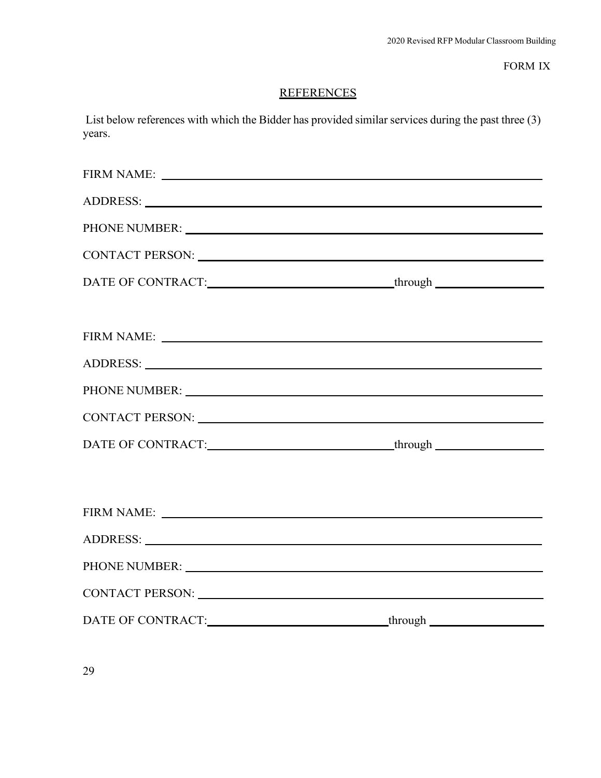FORM IX

# **REFERENCES**

List below references with which the Bidder has provided similar services during the past three (3) years.

| FIRM NAME: NAME:                                                                                                                                                                                                               |
|--------------------------------------------------------------------------------------------------------------------------------------------------------------------------------------------------------------------------------|
|                                                                                                                                                                                                                                |
|                                                                                                                                                                                                                                |
|                                                                                                                                                                                                                                |
| DATE OF CONTRACT:___________________________________through ____________________                                                                                                                                               |
|                                                                                                                                                                                                                                |
| FIRM NAME: THE RESERVE TO A RESERVE THE RESERVE TO A REPORT OF THE RESERVE TO A REPORT OF THE RESERVE TO A REPORT OF THE RESERVE TO A REPORT OF THE RESERVE TO A REPORT OF THE REPORT OF THE RESERVE TO A REPORT OF THE RESERV |
|                                                                                                                                                                                                                                |
|                                                                                                                                                                                                                                |
|                                                                                                                                                                                                                                |
|                                                                                                                                                                                                                                |
|                                                                                                                                                                                                                                |
|                                                                                                                                                                                                                                |
| FIRM NAME:                                                                                                                                                                                                                     |
|                                                                                                                                                                                                                                |
| PHONE NUMBER: NORTH CONSTRUCTION CONTROL CONTROL CONTROL CONTROL CONTROL CONTROL CONTROL CONTROL CONTROL CONTROL CONTROL CONTROL CONTROL CONTROL CONTROL CONTROL CONTROL CONTROL CONTROL CONTROL CONTROL CONTROL CONTROL CONTR |
| CONTACT PERSON: NAME OF STRAIGHT AND THE SERVICE OF STRAIGHT AND THE STRAIGHT OF STRAIGHT AND THE STRAIGHT OF STRAIGHT AND THE STRAIGHT OF STRAIGHT AND THE STRAIGHT OF STRAIGHT AND THE STRAIGHT OF STRAIGHT AND THE STRAIGHT |
|                                                                                                                                                                                                                                |

29